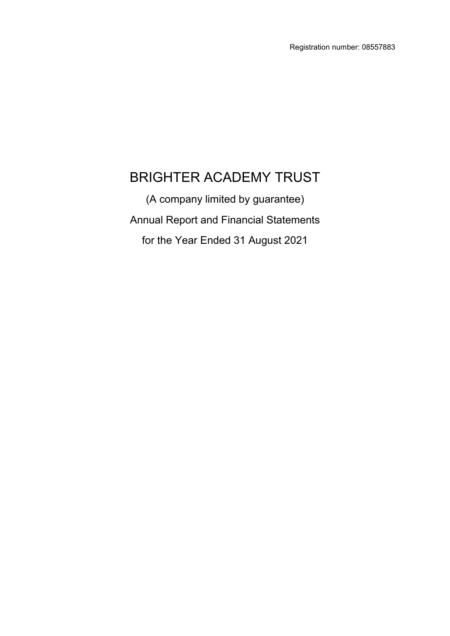# BRIGHTER ACADEMY TRUST

(A company limited by guarantee) Annual Report and Financial Statements for the Year Ended 31 August 2021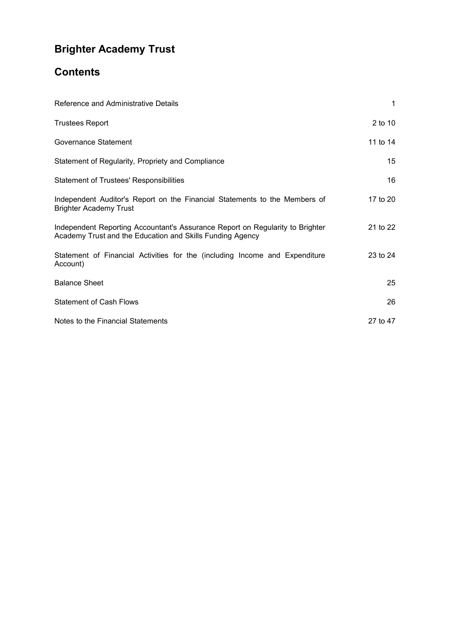# **Contents**

| Reference and Administrative Details                                                                                                       | $\mathbf 1$ |
|--------------------------------------------------------------------------------------------------------------------------------------------|-------------|
| <b>Trustees Report</b>                                                                                                                     | 2 to 10     |
| Governance Statement                                                                                                                       | 11 to 14    |
| Statement of Regularity, Propriety and Compliance                                                                                          | 15          |
| <b>Statement of Trustees' Responsibilities</b>                                                                                             | 16          |
| Independent Auditor's Report on the Financial Statements to the Members of<br><b>Brighter Academy Trust</b>                                | 17 to 20    |
| Independent Reporting Accountant's Assurance Report on Regularity to Brighter<br>Academy Trust and the Education and Skills Funding Agency | 21 to 22    |
| Statement of Financial Activities for the (including Income and Expenditure<br>Account)                                                    | 23 to 24    |
| <b>Balance Sheet</b>                                                                                                                       | 25          |
| <b>Statement of Cash Flows</b>                                                                                                             | 26          |
| Notes to the Financial Statements                                                                                                          | 27 to 47    |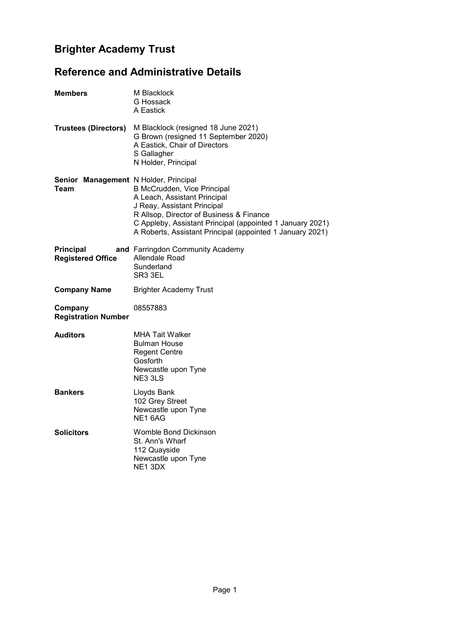# <span id="page-2-0"></span>**Reference and Administrative Details**

| <b>Members</b>                                | M Blacklock<br>G Hossack<br>A Eastick                                                                                                                                                                                                                            |
|-----------------------------------------------|------------------------------------------------------------------------------------------------------------------------------------------------------------------------------------------------------------------------------------------------------------------|
| <b>Trustees (Directors)</b>                   | M Blacklock (resigned 18 June 2021)<br>G Brown (resigned 11 September 2020)<br>A Eastick, Chair of Directors<br>S Gallagher<br>N Holder, Principal                                                                                                               |
| Senior Management N Holder, Principal<br>Team | B McCrudden, Vice Principal<br>A Leach, Assistant Principal<br>J Reay, Assistant Principal<br>R Allsop, Director of Business & Finance<br>C Appleby, Assistant Principal (appointed 1 January 2021)<br>A Roberts, Assistant Principal (appointed 1 January 2021) |
| <b>Principal</b><br><b>Registered Office</b>  | and Farringdon Community Academy<br>Allendale Road<br>Sunderland<br>SR3 3EL                                                                                                                                                                                      |
| <b>Company Name</b>                           | <b>Brighter Academy Trust</b>                                                                                                                                                                                                                                    |
| Company<br><b>Registration Number</b>         | 08557883                                                                                                                                                                                                                                                         |
| <b>Auditors</b>                               | <b>MHA Tait Walker</b><br><b>Bulman House</b><br><b>Regent Centre</b><br>Gosforth<br>Newcastle upon Tyne<br>NE3 3LS                                                                                                                                              |
| <b>Bankers</b>                                | Lloyds Bank<br>102 Grey Street                                                                                                                                                                                                                                   |
|                                               | Newcastle upon Tyne<br>NE <sub>16AG</sub>                                                                                                                                                                                                                        |
| <b>Solicitors</b>                             | <b>Womble Bond Dickinson</b><br>St. Ann's Wharf<br>112 Quayside<br>Newcastle upon Tyne<br>NE <sub>1</sub> 3DX                                                                                                                                                    |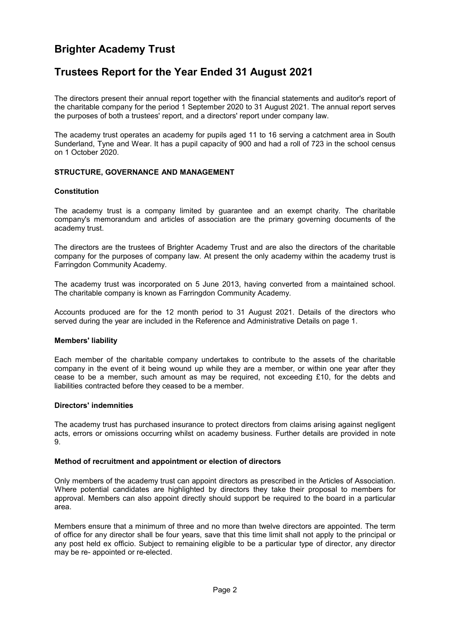### <span id="page-3-0"></span>**Trustees Report for the Year Ended 31 August 2021**

The directors present their annual report together with the financial statements and auditor's report of the charitable company for the period 1 September 2020 to 31 August 2021. The annual report serves the purposes of both a trustees' report, and a directors' report under company law.

The academy trust operates an academy for pupils aged 11 to 16 serving a catchment area in South Sunderland, Tyne and Wear. It has a pupil capacity of 900 and had a roll of 723 in the school census on 1 October 2020.

#### **STRUCTURE, GOVERNANCE AND MANAGEMENT**

#### **Constitution**

The academy trust is a company limited by guarantee and an exempt charity. The charitable company's memorandum and articles of association are the primary governing documents of the academy trust.

The directors are the trustees of Brighter Academy Trust and are also the directors of the charitable company for the purposes of company law. At present the only academy within the academy trust is Farringdon Community Academy.

The academy trust was incorporated on 5 June 2013, having converted from a maintained school. The charitable company is known as Farringdon Community Academy.

Accounts produced are for the 12 month period to 31 August 2021. Details of the directors who served during the year are included in the Reference and Administrative Details on page 1.

#### **Members' liability**

Each member of the charitable company undertakes to contribute to the assets of the charitable company in the event of it being wound up while they are a member, or within one year after they cease to be a member, such amount as may be required, not exceeding £10, for the debts and liabilities contracted before they ceased to be a member.

#### **Directors' indemnities**

The academy trust has purchased insurance to protect directors from claims arising against negligent acts, errors or omissions occurring whilst on academy business. Further details are provided in note 9.

#### **Method of recruitment and appointment or election of directors**

Only members of the academy trust can appoint directors as prescribed in the Articles of Association. Where potential candidates are highlighted by directors they take their proposal to members for approval. Members can also appoint directly should support be required to the board in a particular area.

Members ensure that a minimum of three and no more than twelve directors are appointed. The term of office for any director shall be four years, save that this time limit shall not apply to the principal or any post held ex officio. Subject to remaining eligible to be a particular type of director, any director may be re- appointed or re-elected.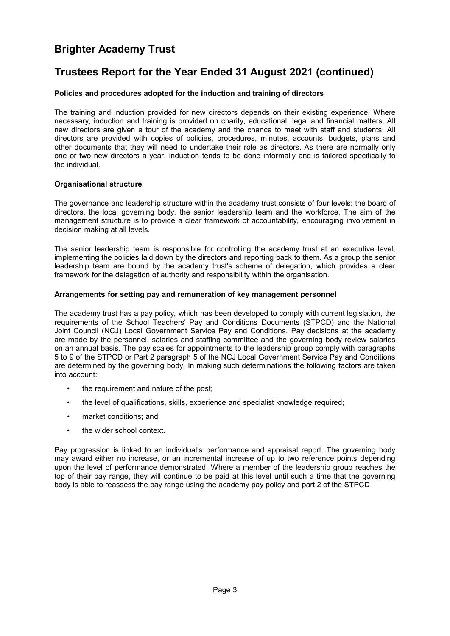### **Trustees Report for the Year Ended 31 August 2021 (continued)**

#### **Policies and procedures adopted for the induction and training of directors**

The training and induction provided for new directors depends on their existing experience. Where necessary, induction and training is provided on charity, educational, legal and financial matters. All new directors are given a tour of the academy and the chance to meet with staff and students. All directors are provided with copies of policies, procedures, minutes, accounts, budgets, plans and other documents that they will need to undertake their role as directors. As there are normally only one or two new directors a year, induction tends to be done informally and is tailored specifically to the individual.

#### **Organisational structure**

The governance and leadership structure within the academy trust consists of four levels: the board of directors, the local governing body, the senior leadership team and the workforce. The aim of the management structure is to provide a clear framework of accountability, encouraging involvement in decision making at all levels.

The senior leadership team is responsible for controlling the academy trust at an executive level, implementing the policies laid down by the directors and reporting back to them. As a group the senior leadership team are bound by the academy trust's scheme of delegation, which provides a clear framework for the delegation of authority and responsibility within the organisation.

#### **Arrangements for setting pay and remuneration of key management personnel**

The academy trust has a pay policy, which has been developed to comply with current legislation, the requirements of the School Teachers' Pay and Conditions Documents (STPCD) and the National Joint Council (NCJ) Local Government Service Pay and Conditions. Pay decisions at the academy are made by the personnel, salaries and staffing committee and the governing body review salaries on an annual basis. The pay scales for appointments to the leadership group comply with paragraphs 5 to 9 of the STPCD or Part 2 paragraph 5 of the NCJ Local Government Service Pay and Conditions are determined by the governing body. In making such determinations the following factors are taken into account:

- the requirement and nature of the post;
- the level of qualifications, skills, experience and specialist knowledge required;
- market conditions; and
- the wider school context.

Pay progression is linked to an individual's performance and appraisal report. The governing body may award either no increase, or an incremental increase of up to two reference points depending upon the level of performance demonstrated. Where a member of the leadership group reaches the top of their pay range, they will continue to be paid at this level until such a time that the governing body is able to reassess the pay range using the academy pay policy and part 2 of the STPCD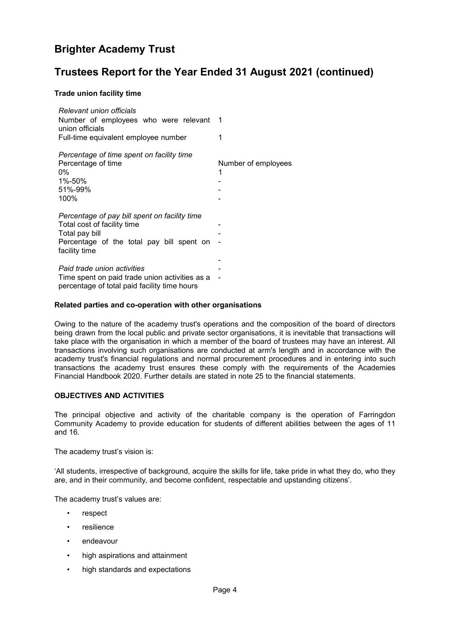### **Trustees Report for the Year Ended 31 August 2021 (continued)**

#### **Trade union facility time**

| Relevant union officials<br>Number of employees who were relevant 1<br>union officials<br>Full-time equivalent employee number                               | 1                        |
|--------------------------------------------------------------------------------------------------------------------------------------------------------------|--------------------------|
| Percentage of time spent on facility time<br>Percentage of time<br>0%<br>1%-50%<br>51%-99%<br>100%                                                           | Number of employees<br>1 |
| Percentage of pay bill spent on facility time<br>Total cost of facility time<br>Total pay bill<br>Percentage of the total pay bill spent on<br>facility time |                          |
| Paid trade union activities<br>Time spent on paid trade union activities as a<br>percentage of total paid facility time hours                                |                          |

#### **Related parties and co-operation with other organisations**

Owing to the nature of the academy trust's operations and the composition of the board of directors being drawn from the local public and private sector organisations, it is inevitable that transactions will take place with the organisation in which a member of the board of trustees may have an interest. All transactions involving such organisations are conducted at arm's length and in accordance with the academy trust's financial regulations and normal procurement procedures and in entering into such transactions the academy trust ensures these comply with the requirements of the Academies Financial Handbook 2020. Further details are stated in note 25 to the financial statements.

#### **OBJECTIVES AND ACTIVITIES**

The principal objective and activity of the charitable company is the operation of Farringdon Community Academy to provide education for students of different abilities between the ages of 11 and 16.

The academy trust's vision is:

'All students, irrespective of background, acquire the skills for life, take pride in what they do, who they are, and in their community, and become confident, respectable and upstanding citizens'.

The academy trust's values are:

- respect
- resilience
- endeavour
- high aspirations and attainment
- high standards and expectations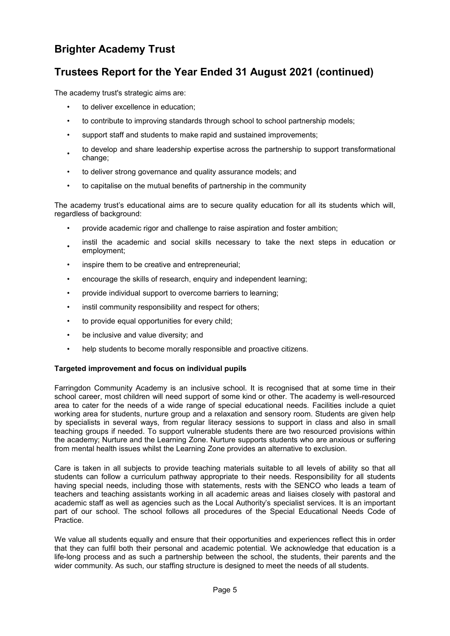### **Trustees Report for the Year Ended 31 August 2021 (continued)**

The academy trust's strategic aims are:

- to deliver excellence in education;
- to contribute to improving standards through school to school partnership models;
- support staff and students to make rapid and sustained improvements;
- to develop and share leadership expertise across the partnership to support transformational change;
- to deliver strong governance and quality assurance models; and
- to capitalise on the mutual benefits of partnership in the community

The academy trust's educational aims are to secure quality education for all its students which will, regardless of background:

- provide academic rigor and challenge to raise aspiration and foster ambition;
- instil the academic and social skills necessary to take the next steps in education or employment;
- inspire them to be creative and entrepreneurial;
- encourage the skills of research, enquiry and independent learning;
- provide individual support to overcome barriers to learning;
- instil community responsibility and respect for others;
- to provide equal opportunities for every child;
- be inclusive and value diversity; and
- help students to become morally responsible and proactive citizens.

#### **Targeted improvement and focus on individual pupils**

Farringdon Community Academy is an inclusive school. It is recognised that at some time in their school career, most children will need support of some kind or other. The academy is well-resourced area to cater for the needs of a wide range of special educational needs. Facilities include a quiet working area for students, nurture group and a relaxation and sensory room. Students are given help by specialists in several ways, from regular literacy sessions to support in class and also in small teaching groups if needed. To support vulnerable students there are two resourced provisions within the academy; Nurture and the Learning Zone. Nurture supports students who are anxious or suffering from mental health issues whilst the Learning Zone provides an alternative to exclusion.

Care is taken in all subjects to provide teaching materials suitable to all levels of ability so that all students can follow a curriculum pathway appropriate to their needs. Responsibility for all students having special needs, including those with statements, rests with the SENCO who leads a team of teachers and teaching assistants working in all academic areas and liaises closely with pastoral and academic staff as well as agencies such as the Local Authority's specialist services. It is an important part of our school. The school follows all procedures of the Special Educational Needs Code of Practice.

We value all students equally and ensure that their opportunities and experiences reflect this in order that they can fulfil both their personal and academic potential. We acknowledge that education is a life-long process and as such a partnership between the school, the students, their parents and the wider community. As such, our staffing structure is designed to meet the needs of all students.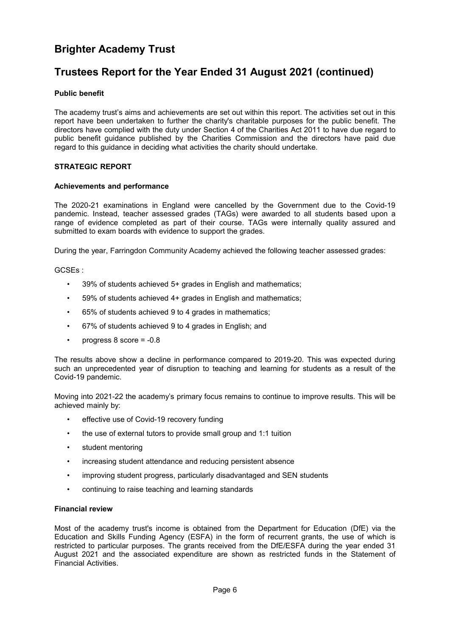### **Trustees Report for the Year Ended 31 August 2021 (continued)**

#### **Public benefit**

The academy trust's aims and achievements are set out within this report. The activities set out in this report have been undertaken to further the charity's charitable purposes for the public benefit. The directors have complied with the duty under Section 4 of the Charities Act 2011 to have due regard to public benefit guidance published by the Charities Commission and the directors have paid due regard to this guidance in deciding what activities the charity should undertake.

#### **STRATEGIC REPORT**

#### **Achievements and performance**

The 2020-21 examinations in England were cancelled by the Government due to the Covid-19 pandemic. Instead, teacher assessed grades (TAGs) were awarded to all students based upon a range of evidence completed as part of their course. TAGs were internally quality assured and submitted to exam boards with evidence to support the grades.

During the year, Farringdon Community Academy achieved the following teacher assessed grades:

GCSEs :

- 39% of students achieved 5+ grades in English and mathematics;
- 59% of students achieved 4+ grades in English and mathematics;
- 65% of students achieved 9 to 4 grades in mathematics;
- 67% of students achieved 9 to 4 grades in English; and
- progress  $8$  score =  $-0.8$

The results above show a decline in performance compared to 2019-20. This was expected during such an unprecedented year of disruption to teaching and learning for students as a result of the Covid-19 pandemic.

Moving into 2021-22 the academy's primary focus remains to continue to improve results. This will be achieved mainly by:

- effective use of Covid-19 recovery funding
- the use of external tutors to provide small group and 1:1 tuition
- student mentoring
- increasing student attendance and reducing persistent absence
- improving student progress, particularly disadvantaged and SEN students
- continuing to raise teaching and learning standards

#### **Financial review**

Most of the academy trust's income is obtained from the Department for Education (DfE) via the Education and Skills Funding Agency (ESFA) in the form of recurrent grants, the use of which is restricted to particular purposes. The grants received from the DfE/ESFA during the year ended 31 August 2021 and the associated expenditure are shown as restricted funds in the Statement of Financial Activities.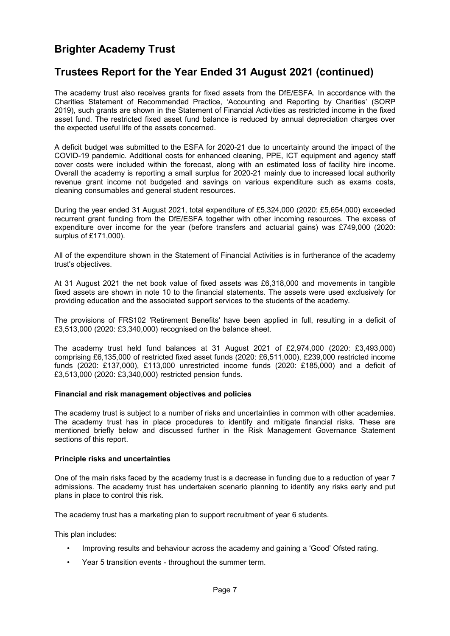### **Trustees Report for the Year Ended 31 August 2021 (continued)**

The academy trust also receives grants for fixed assets from the DfE/ESFA. In accordance with the Charities Statement of Recommended Practice, 'Accounting and Reporting by Charities' (SORP 2019), such grants are shown in the Statement of Financial Activities as restricted income in the fixed asset fund. The restricted fixed asset fund balance is reduced by annual depreciation charges over the expected useful life of the assets concerned.

A deficit budget was submitted to the ESFA for 2020-21 due to uncertainty around the impact of the COVID-19 pandemic. Additional costs for enhanced cleaning, PPE, ICT equipment and agency staff cover costs were included within the forecast, along with an estimated loss of facility hire income. Overall the academy is reporting a small surplus for 2020-21 mainly due to increased local authority revenue grant income not budgeted and savings on various expenditure such as exams costs, cleaning consumables and general student resources.

During the year ended 31 August 2021, total expenditure of £5,324,000 (2020: £5,654,000) exceeded recurrent grant funding from the DfE/ESFA together with other incoming resources. The excess of expenditure over income for the year (before transfers and actuarial gains) was £749,000 (2020: surplus of £171,000).

All of the expenditure shown in the Statement of Financial Activities is in furtherance of the academy trust's objectives.

At 31 August 2021 the net book value of fixed assets was £6,318,000 and movements in tangible fixed assets are shown in note 10 to the financial statements. The assets were used exclusively for providing education and the associated support services to the students of the academy.

The provisions of FRS102 'Retirement Benefits' have been applied in full, resulting in a deficit of £3,513,000 (2020: £3,340,000) recognised on the balance sheet.

The academy trust held fund balances at 31 August 2021 of £2,974,000 (2020: £3,493,000) comprising £6,135,000 of restricted fixed asset funds (2020: £6,511,000), £239,000 restricted income funds (2020: £137,000), £113,000 unrestricted income funds (2020: £185,000) and a deficit of £3,513,000 (2020: £3,340,000) restricted pension funds.

#### **Financial and risk management objectives and policies**

The academy trust is subject to a number of risks and uncertainties in common with other academies. The academy trust has in place procedures to identify and mitigate financial risks. These are mentioned briefly below and discussed further in the Risk Management Governance Statement sections of this report.

#### **Principle risks and uncertainties**

One of the main risks faced by the academy trust is a decrease in funding due to a reduction of year 7 admissions. The academy trust has undertaken scenario planning to identify any risks early and put plans in place to control this risk.

The academy trust has a marketing plan to support recruitment of year 6 students.

This plan includes:

- Improving results and behaviour across the academy and gaining a 'Good' Ofsted rating.
- Year 5 transition events throughout the summer term.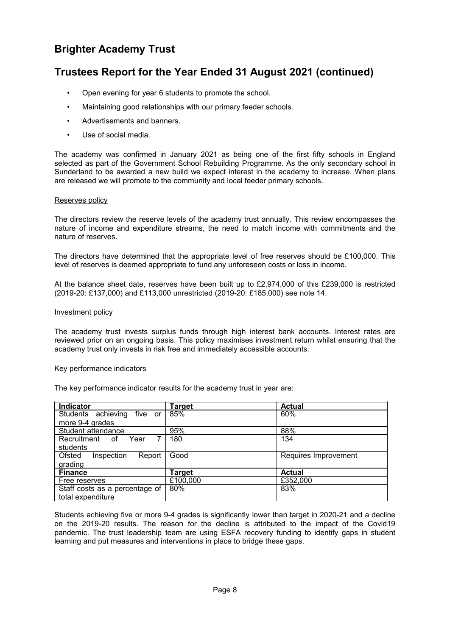### **Trustees Report for the Year Ended 31 August 2021 (continued)**

- Open evening for year 6 students to promote the school.
- Maintaining good relationships with our primary feeder schools.
- Advertisements and banners.
- Use of social media.

The academy was confirmed in January 2021 as being one of the first fifty schools in England selected as part of the Government School Rebuilding Programme. As the only secondary school in Sunderland to be awarded a new build we expect interest in the academy to increase. When plans are released we will promote to the community and local feeder primary schools.

#### Reserves policy

The directors review the reserve levels of the academy trust annually. This review encompasses the nature of income and expenditure streams, the need to match income with commitments and the nature of reserves.

The directors have determined that the appropriate level of free reserves should be £100,000. This level of reserves is deemed appropriate to fund any unforeseen costs or loss in income.

At the balance sheet date, reserves have been built up to £2,974,000 of this £239,000 is restricted (2019-20: £137,000) and £113,000 unrestricted (2019-20: £185,000) see note 14.

#### Investment policy

The academy trust invests surplus funds through high interest bank accounts. Interest rates are reviewed prior on an ongoing basis. This policy maximises investment return whilst ensuring that the academy trust only invests in risk free and immediately accessible accounts.

#### Key performance indicators

The key performance indicator results for the academy trust in year are:

| Indicator                      | Target   | <b>Actual</b>        |
|--------------------------------|----------|----------------------|
| Students achieving five or     | 85%      | 60%                  |
| more 9-4 grades                |          |                      |
| Student attendance             | 95%      | 88%                  |
| Recruitment<br>Year<br>of.     | 180      | 134                  |
| students                       |          |                      |
| Ofsted<br>Inspection<br>Report | Good     | Requires Improvement |
| grading                        |          |                      |
| <b>Finance</b>                 | Target   | <b>Actual</b>        |
| Free reserves                  | £100,000 | £352,000             |
| Staff costs as a percentage of | 80%      | 83%                  |
| total expenditure              |          |                      |

Students achieving five or more 9-4 grades is significantly lower than target in 2020-21 and a decline on the 2019-20 results. The reason for the decline is attributed to the impact of the Covid19 pandemic. The trust leadership team are using ESFA recovery funding to identify gaps in student learning and put measures and interventions in place to bridge these gaps.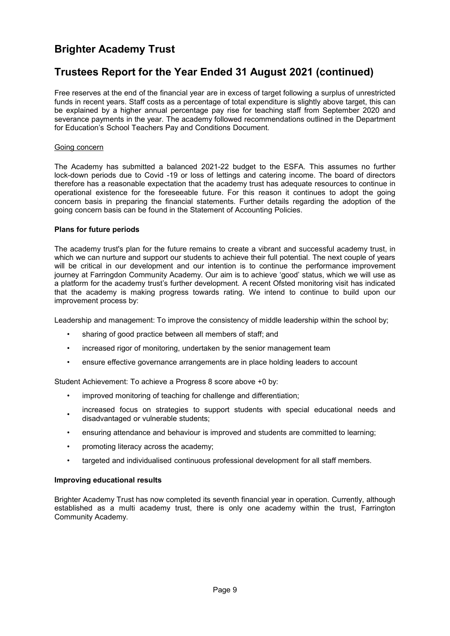### **Trustees Report for the Year Ended 31 August 2021 (continued)**

Free reserves at the end of the financial year are in excess of target following a surplus of unrestricted funds in recent years. Staff costs as a percentage of total expenditure is slightly above target, this can be explained by a higher annual percentage pay rise for teaching staff from September 2020 and severance payments in the year. The academy followed recommendations outlined in the Department for Education's School Teachers Pay and Conditions Document.

#### Going concern

The Academy has submitted a balanced 2021-22 budget to the ESFA. This assumes no further lock-down periods due to Covid -19 or loss of lettings and catering income. The board of directors therefore has a reasonable expectation that the academy trust has adequate resources to continue in operational existence for the foreseeable future. For this reason it continues to adopt the going concern basis in preparing the financial statements. Further details regarding the adoption of the going concern basis can be found in the Statement of Accounting Policies.

#### **Plans for future periods**

The academy trust's plan for the future remains to create a vibrant and successful academy trust, in which we can nurture and support our students to achieve their full potential. The next couple of years will be critical in our development and our intention is to continue the performance improvement journey at Farringdon Community Academy. Our aim is to achieve 'good' status, which we will use as a platform for the academy trust's further development. A recent Ofsted monitoring visit has indicated that the academy is making progress towards rating. We intend to continue to build upon our improvement process by:

Leadership and management: To improve the consistency of middle leadership within the school by;

- sharing of good practice between all members of staff; and
- increased rigor of monitoring, undertaken by the senior management team
- ensure effective governance arrangements are in place holding leaders to account

Student Achievement: To achieve a Progress 8 score above +0 by:

- improved monitoring of teaching for challenge and differentiation;
- increased focus on strategies to support students with special educational needs and disadvantaged or vulnerable students;
- ensuring attendance and behaviour is improved and students are committed to learning;
- promoting literacy across the academy;
- targeted and individualised continuous professional development for all staff members.

#### **Improving educational results**

Brighter Academy Trust has now completed its seventh financial year in operation. Currently, although established as a multi academy trust, there is only one academy within the trust, Farrington Community Academy.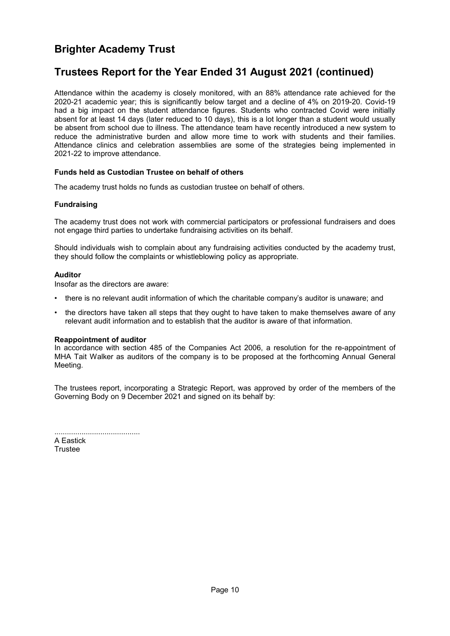### **Trustees Report for the Year Ended 31 August 2021 (continued)**

Attendance within the academy is closely monitored, with an 88% attendance rate achieved for the 2020-21 academic year; this is significantly below target and a decline of 4% on 2019-20. Covid-19 had a big impact on the student attendance figures. Students who contracted Covid were initially absent for at least 14 days (later reduced to 10 days), this is a lot longer than a student would usually be absent from school due to illness. The attendance team have recently introduced a new system to reduce the administrative burden and allow more time to work with students and their families. Attendance clinics and celebration assemblies are some of the strategies being implemented in 2021-22 to improve attendance.

#### **Funds held as Custodian Trustee on behalf of others**

The academy trust holds no funds as custodian trustee on behalf of others.

#### **Fundraising**

The academy trust does not work with commercial participators or professional fundraisers and does not engage third parties to undertake fundraising activities on its behalf.

Should individuals wish to complain about any fundraising activities conducted by the academy trust, they should follow the complaints or whistleblowing policy as appropriate.

#### **Auditor**

Insofar as the directors are aware:

- there is no relevant audit information of which the charitable company's auditor is unaware; and
- the directors have taken all steps that they ought to have taken to make themselves aware of any relevant audit information and to establish that the auditor is aware of that information.

#### **Reappointment of auditor**

In accordance with section 485 of the Companies Act 2006, a resolution for the re-appointment of MHA Tait Walker as auditors of the company is to be proposed at the forthcoming Annual General Meeting.

The trustees report, incorporating a Strategic Report, was approved by order of the members of the Governing Body on 9 December 2021 and signed on its behalf by:

......................................... A Eastick **Trustee**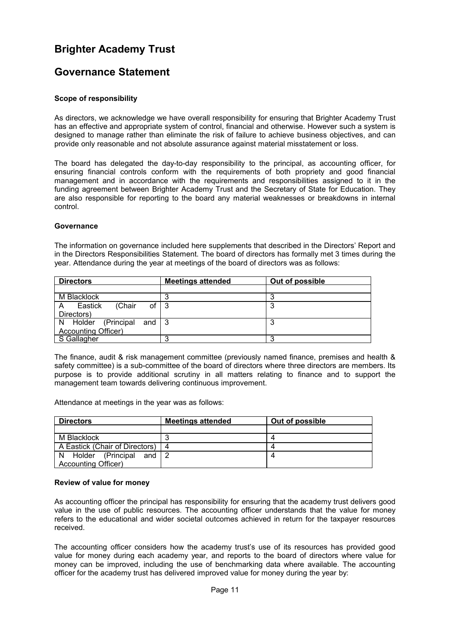### <span id="page-12-0"></span>**Governance Statement**

#### **Scope of responsibility**

As directors, we acknowledge we have overall responsibility for ensuring that Brighter Academy Trust has an effective and appropriate system of control, financial and otherwise. However such a system is designed to manage rather than eliminate the risk of failure to achieve business objectives, and can provide only reasonable and not absolute assurance against material misstatement or loss.

The board has delegated the day-to-day responsibility to the principal, as accounting officer, for ensuring financial controls conform with the requirements of both propriety and good financial management and in accordance with the requirements and responsibilities assigned to it in the funding agreement between Brighter Academy Trust and the Secretary of State for Education. They are also responsible for reporting to the board any material weaknesses or breakdowns in internal control.

#### **Governance**

The information on governance included here supplements that described in the Directors' Report and in the Directors Responsibilities Statement. The board of directors has formally met 3 times during the year. Attendance during the year at meetings of the board of directors was as follows:

| <b>Directors</b>             | <b>Meetings attended</b> | Out of possible |
|------------------------------|--------------------------|-----------------|
|                              |                          |                 |
| M Blacklock                  | Ω                        |                 |
| of<br>Eastick<br>(Chair<br>A | - 3                      | 3               |
| Directors)                   |                          |                 |
| N Holder (Principal and 3    |                          | ິ<br>J          |
| <b>Accounting Officer)</b>   |                          |                 |
| S Gallagher                  | っ                        |                 |

The finance, audit & risk management committee (previously named finance, premises and health & safety committee) is a sub-committee of the board of directors where three directors are members. Its purpose is to provide additional scrutiny in all matters relating to finance and to support the management team towards delivering continuous improvement.

Attendance at meetings in the year was as follows:

| <b>Directors</b>               | <b>Meetings attended</b> | Out of possible |
|--------------------------------|--------------------------|-----------------|
|                                |                          |                 |
| M Blacklock                    | າ                        |                 |
| A Eastick (Chair of Directors) | -4                       |                 |
| N Holder (Principal and $2$    |                          |                 |
| <b>Accounting Officer)</b>     |                          |                 |

#### **Review of value for money**

As accounting officer the principal has responsibility for ensuring that the academy trust delivers good value in the use of public resources. The accounting officer understands that the value for money refers to the educational and wider societal outcomes achieved in return for the taxpayer resources received.

The accounting officer considers how the academy trust's use of its resources has provided good value for money during each academy year, and reports to the board of directors where value for money can be improved, including the use of benchmarking data where available. The accounting officer for the academy trust has delivered improved value for money during the year by: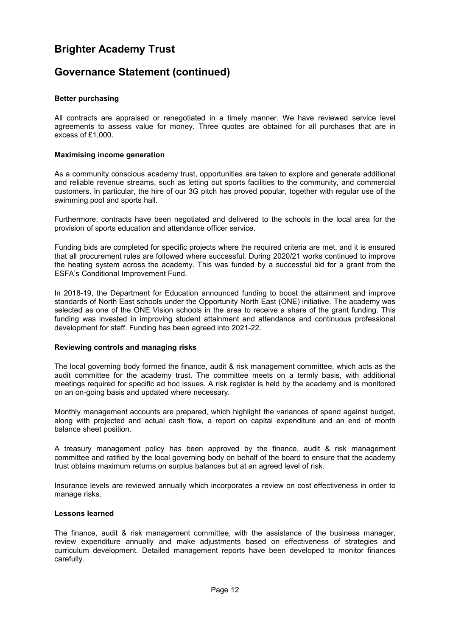### **Governance Statement (continued)**

#### **Better purchasing**

All contracts are appraised or renegotiated in a timely manner. We have reviewed service level agreements to assess value for money. Three quotes are obtained for all purchases that are in excess of £1,000.

#### **Maximising income generation**

As a community conscious academy trust, opportunities are taken to explore and generate additional and reliable revenue streams, such as letting out sports facilities to the community, and commercial customers. In particular, the hire of our 3G pitch has proved popular, together with regular use of the swimming pool and sports hall.

Furthermore, contracts have been negotiated and delivered to the schools in the local area for the provision of sports education and attendance officer service.

Funding bids are completed for specific projects where the required criteria are met, and it is ensured that all procurement rules are followed where successful. During 2020/21 works continued to improve the heating system across the academy. This was funded by a successful bid for a grant from the ESFA's Conditional Improvement Fund.

In 2018-19, the Department for Education announced funding to boost the attainment and improve standards of North East schools under the Opportunity North East (ONE) initiative. The academy was selected as one of the ONE Vision schools in the area to receive a share of the grant funding. This funding was invested in improving student attainment and attendance and continuous professional development for staff. Funding has been agreed into 2021-22.

#### **Reviewing controls and managing risks**

The local governing body formed the finance, audit & risk management committee, which acts as the audit committee for the academy trust. The committee meets on a termly basis, with additional meetings required for specific ad hoc issues. A risk register is held by the academy and is monitored on an on-going basis and updated where necessary.

Monthly management accounts are prepared, which highlight the variances of spend against budget, along with projected and actual cash flow, a report on capital expenditure and an end of month balance sheet position.

A treasury management policy has been approved by the finance, audit & risk management committee and ratified by the local governing body on behalf of the board to ensure that the academy trust obtains maximum returns on surplus balances but at an agreed level of risk.

Insurance levels are reviewed annually which incorporates a review on cost effectiveness in order to manage risks.

#### **Lessons learned**

The finance, audit & risk management committee, with the assistance of the business manager, review expenditure annually and make adjustments based on effectiveness of strategies and curriculum development. Detailed management reports have been developed to monitor finances carefully.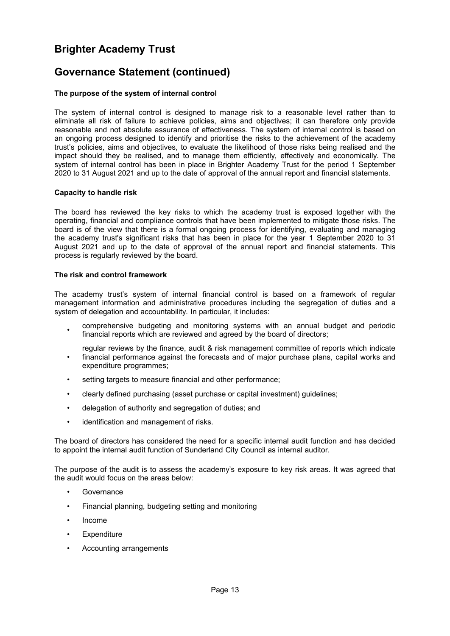### **Governance Statement (continued)**

#### **The purpose of the system of internal control**

The system of internal control is designed to manage risk to a reasonable level rather than to eliminate all risk of failure to achieve policies, aims and objectives; it can therefore only provide reasonable and not absolute assurance of effectiveness. The system of internal control is based on an ongoing process designed to identify and prioritise the risks to the achievement of the academy trust's policies, aims and objectives, to evaluate the likelihood of those risks being realised and the impact should they be realised, and to manage them efficiently, effectively and economically. The system of internal control has been in place in Brighter Academy Trust for the period 1 September 2020 to 31 August 2021 and up to the date of approval of the annual report and financial statements.

#### **Capacity to handle risk**

The board has reviewed the key risks to which the academy trust is exposed together with the operating, financial and compliance controls that have been implemented to mitigate those risks. The board is of the view that there is a formal ongoing process for identifying, evaluating and managing the academy trust's significant risks that has been in place for the year 1 September 2020 to 31 August 2021 and up to the date of approval of the annual report and financial statements. This process is regularly reviewed by the board.

#### **The risk and control framework**

The academy trust's system of internal financial control is based on a framework of regular management information and administrative procedures including the segregation of duties and a system of delegation and accountability. In particular, it includes:

- comprehensive budgeting and monitoring systems with an annual budget and periodic financial reports which are reviewed and agreed by the board of directors;
- regular reviews by the finance, audit & risk management committee of reports which indicate financial performance against the forecasts and of major purchase plans, capital works and expenditure programmes;
- setting targets to measure financial and other performance;
- clearly defined purchasing (asset purchase or capital investment) guidelines;
- delegation of authority and segregation of duties; and
- identification and management of risks.

The board of directors has considered the need for a specific internal audit function and has decided to appoint the internal audit function of Sunderland City Council as internal auditor.

The purpose of the audit is to assess the academy's exposure to key risk areas. It was agreed that the audit would focus on the areas below:

- **Governance**
- Financial planning, budgeting setting and monitoring
- Income
- **Expenditure**
- Accounting arrangements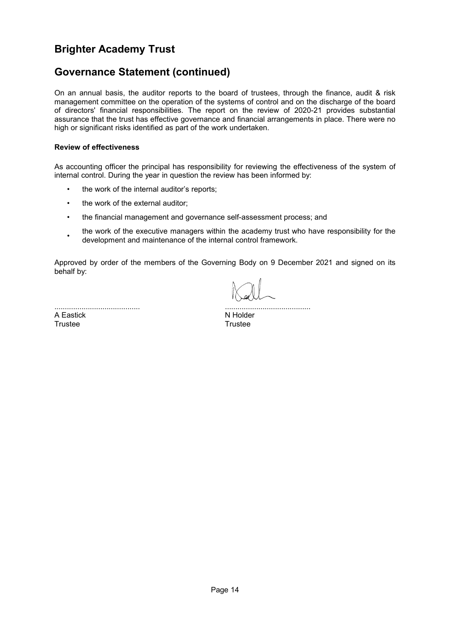### **Governance Statement (continued)**

On an annual basis, the auditor reports to the board of trustees, through the finance, audit & risk management committee on the operation of the systems of control and on the discharge of the board of directors' financial responsibilities. The report on the review of 2020-21 provides substantial assurance that the trust has effective governance and financial arrangements in place. There were no high or significant risks identified as part of the work undertaken.

#### **Review of effectiveness**

As accounting officer the principal has responsibility for reviewing the effectiveness of the system of internal control. During the year in question the review has been informed by:

- the work of the internal auditor's reports;
- the work of the external auditor;
- the financial management and governance self-assessment process; and
- the work of the executive managers within the academy trust who have responsibility for the development and maintenance of the internal control framework.

Approved by order of the members of the Governing Body on 9 December 2021 and signed on its behalf by:

......................................... A Eastick Trustee

|  | N Holder |  |  |  |  |  |  |  |  |  |  |  |  |  |  |  |  |
|--|----------|--|--|--|--|--|--|--|--|--|--|--|--|--|--|--|--|

**Trustee**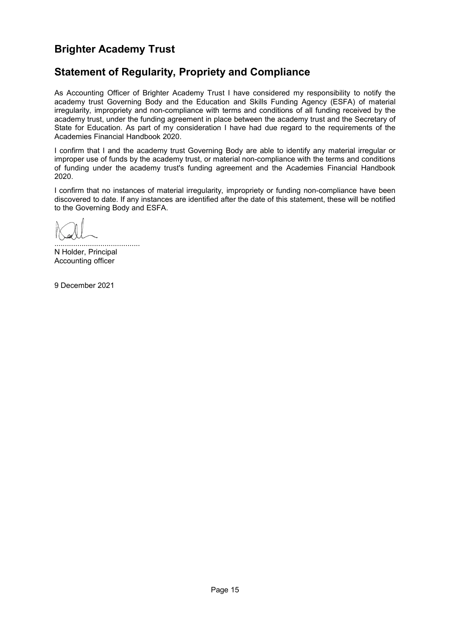### <span id="page-16-0"></span>**Statement of Regularity, Propriety and Compliance**

As Accounting Officer of Brighter Academy Trust I have considered my responsibility to notify the academy trust Governing Body and the Education and Skills Funding Agency (ESFA) of material irregularity, impropriety and non-compliance with terms and conditions of all funding received by the academy trust, under the funding agreement in place between the academy trust and the Secretary of State for Education. As part of my consideration I have had due regard to the requirements of the Academies Financial Handbook 2020.

I confirm that I and the academy trust Governing Body are able to identify any material irregular or improper use of funds by the academy trust, or material non-compliance with the terms and conditions of funding under the academy trust's funding agreement and the Academies Financial Handbook 2020.

I confirm that no instances of material irregularity, impropriety or funding non-compliance have been discovered to date. If any instances are identified after the date of this statement, these will be notified to the Governing Body and ESFA.

......................................... N Holder, Principal Accounting officer

9 December 2021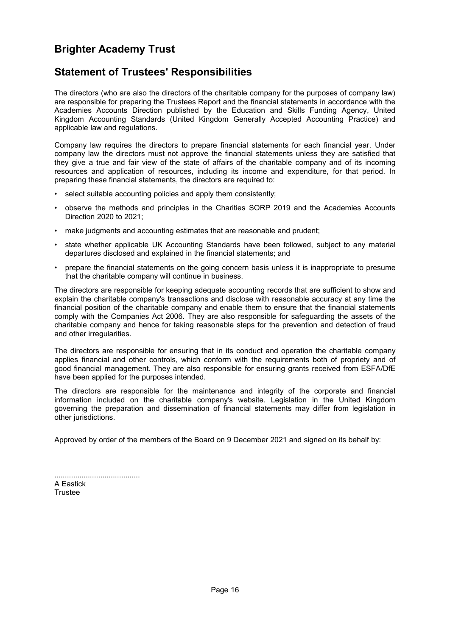### <span id="page-17-0"></span>**Statement of Trustees' Responsibilities**

The directors (who are also the directors of the charitable company for the purposes of company law) are responsible for preparing the Trustees Report and the financial statements in accordance with the Academies Accounts Direction published by the Education and Skills Funding Agency, United Kingdom Accounting Standards (United Kingdom Generally Accepted Accounting Practice) and applicable law and regulations.

Company law requires the directors to prepare financial statements for each financial year. Under company law the directors must not approve the financial statements unless they are satisfied that they give a true and fair view of the state of affairs of the charitable company and of its incoming resources and application of resources, including its income and expenditure, for that period. In preparing these financial statements, the directors are required to:

- select suitable accounting policies and apply them consistently;
- observe the methods and principles in the Charities SORP 2019 and the Academies Accounts Direction 2020 to 2021;
- make judgments and accounting estimates that are reasonable and prudent;
- state whether applicable UK Accounting Standards have been followed, subject to any material departures disclosed and explained in the financial statements; and
- prepare the financial statements on the going concern basis unless it is inappropriate to presume that the charitable company will continue in business.

The directors are responsible for keeping adequate accounting records that are sufficient to show and explain the charitable company's transactions and disclose with reasonable accuracy at any time the financial position of the charitable company and enable them to ensure that the financial statements comply with the Companies Act 2006. They are also responsible for safeguarding the assets of the charitable company and hence for taking reasonable steps for the prevention and detection of fraud and other irregularities.

The directors are responsible for ensuring that in its conduct and operation the charitable company applies financial and other controls, which conform with the requirements both of propriety and of good financial management. They are also responsible for ensuring grants received from ESFA/DfE have been applied for the purposes intended.

The directors are responsible for the maintenance and integrity of the corporate and financial information included on the charitable company's website. Legislation in the United Kingdom governing the preparation and dissemination of financial statements may differ from legislation in other jurisdictions.

Approved by order of the members of the Board on 9 December 2021 and signed on its behalf by:

| A Eastick |  |  |  |
|-----------|--|--|--|
| Trustee   |  |  |  |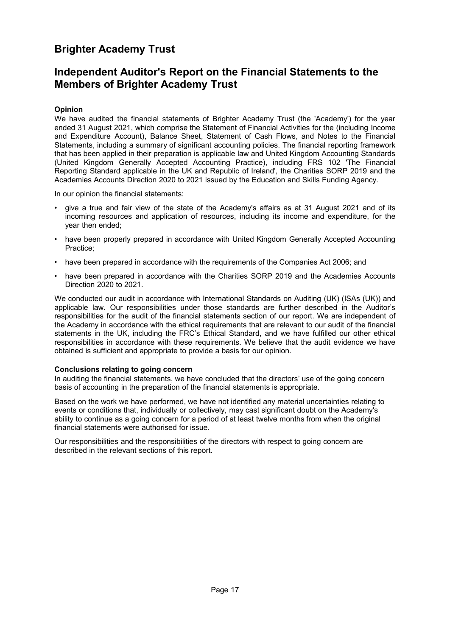### <span id="page-18-0"></span>**Independent Auditor's Report on the Financial Statements to the Members of Brighter Academy Trust**

#### **Opinion**

We have audited the financial statements of Brighter Academy Trust (the 'Academy') for the year ended 31 August 2021, which comprise the Statement of Financial Activities for the (including Income and Expenditure Account), Balance Sheet, Statement of Cash Flows, and Notes to the Financial Statements, including a summary of significant accounting policies. The financial reporting framework that has been applied in their preparation is applicable law and United Kingdom Accounting Standards (United Kingdom Generally Accepted Accounting Practice), including FRS 102 'The Financial Reporting Standard applicable in the UK and Republic of Ireland', the Charities SORP 2019 and the Academies Accounts Direction 2020 to 2021 issued by the Education and Skills Funding Agency.

In our opinion the financial statements:

- give a true and fair view of the state of the Academy's affairs as at 31 August 2021 and of its incoming resources and application of resources, including its income and expenditure, for the year then ended;
- have been properly prepared in accordance with United Kingdom Generally Accepted Accounting Practice;
- have been prepared in accordance with the requirements of the Companies Act 2006; and
- have been prepared in accordance with the Charities SORP 2019 and the Academies Accounts Direction 2020 to 2021.

We conducted our audit in accordance with International Standards on Auditing (UK) (ISAs (UK)) and applicable law. Our responsibilities under those standards are further described in the Auditor's responsibilities for the audit of the financial statements section of our report. We are independent of the Academy in accordance with the ethical requirements that are relevant to our audit of the financial statements in the UK, including the FRC's Ethical Standard, and we have fulfilled our other ethical responsibilities in accordance with these requirements. We believe that the audit evidence we have obtained is sufficient and appropriate to provide a basis for our opinion.

#### **Conclusions relating to going concern**

In auditing the financial statements, we have concluded that the directors' use of the going concern basis of accounting in the preparation of the financial statements is appropriate.

Based on the work we have performed, we have not identified any material uncertainties relating to events or conditions that, individually or collectively, may cast significant doubt on the Academy's ability to continue as a going concern for a period of at least twelve months from when the original financial statements were authorised for issue.

Our responsibilities and the responsibilities of the directors with respect to going concern are described in the relevant sections of this report.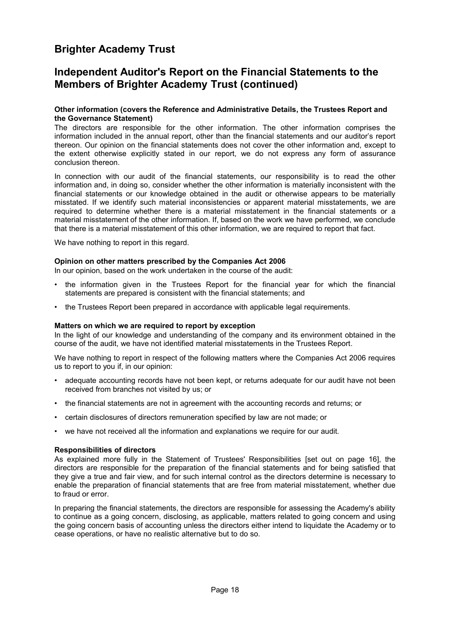### **Independent Auditor's Report on the Financial Statements to the Members of Brighter Academy Trust (continued)**

#### **Other information (covers the Reference and Administrative Details, the Trustees Report and the Governance Statement)**

The directors are responsible for the other information. The other information comprises the information included in the annual report, other than the financial statements and our auditor's report thereon. Our opinion on the financial statements does not cover the other information and, except to the extent otherwise explicitly stated in our report, we do not express any form of assurance conclusion thereon.

In connection with our audit of the financial statements, our responsibility is to read the other information and, in doing so, consider whether the other information is materially inconsistent with the financial statements or our knowledge obtained in the audit or otherwise appears to be materially misstated. If we identify such material inconsistencies or apparent material misstatements, we are required to determine whether there is a material misstatement in the financial statements or a material misstatement of the other information. If, based on the work we have performed, we conclude that there is a material misstatement of this other information, we are required to report that fact.

We have nothing to report in this regard.

#### **Opinion on other matters prescribed by the Companies Act 2006**

In our opinion, based on the work undertaken in the course of the audit:

- the information given in the Trustees Report for the financial year for which the financial statements are prepared is consistent with the financial statements; and
- the Trustees Report been prepared in accordance with applicable legal requirements.

#### **Matters on which we are required to report by exception**

In the light of our knowledge and understanding of the company and its environment obtained in the course of the audit, we have not identified material misstatements in the Trustees Report.

We have nothing to report in respect of the following matters where the Companies Act 2006 requires us to report to you if, in our opinion:

- adequate accounting records have not been kept, or returns adequate for our audit have not been received from branches not visited by us; or
- the financial statements are not in agreement with the accounting records and returns; or
- certain disclosures of directors remuneration specified by law are not made; or
- we have not received all the information and explanations we require for our audit.

#### **Responsibilities of directors**

As explained more fully in the Statement of Trustees' Responsibilities [set out on page [16\]](#page-17-0), the directors are responsible for the preparation of the financial statements and for being satisfied that they give a true and fair view, and for such internal control as the directors determine is necessary to enable the preparation of financial statements that are free from material misstatement, whether due to fraud or error.

In preparing the financial statements, the directors are responsible for assessing the Academy's ability to continue as a going concern, disclosing, as applicable, matters related to going concern and using the going concern basis of accounting unless the directors either intend to liquidate the Academy or to cease operations, or have no realistic alternative but to do so.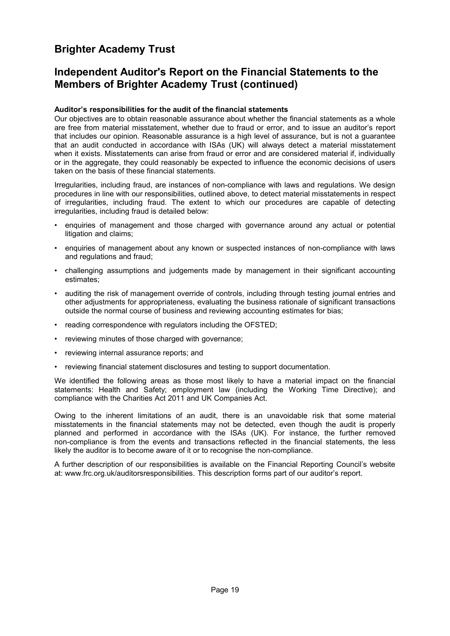### **Independent Auditor's Report on the Financial Statements to the Members of Brighter Academy Trust (continued)**

#### **Auditor's responsibilities for the audit of the financial statements**

Our objectives are to obtain reasonable assurance about whether the financial statements as a whole are free from material misstatement, whether due to fraud or error, and to issue an auditor's report that includes our opinion. Reasonable assurance is a high level of assurance, but is not a guarantee that an audit conducted in accordance with ISAs (UK) will always detect a material misstatement when it exists. Misstatements can arise from fraud or error and are considered material if, individually or in the aggregate, they could reasonably be expected to influence the economic decisions of users taken on the basis of these financial statements.

Irregularities, including fraud, are instances of non-compliance with laws and regulations. We design procedures in line with our responsibilities, outlined above, to detect material misstatements in respect of irregularities, including fraud. The extent to which our procedures are capable of detecting irregularities, including fraud is detailed below:

- enquiries of management and those charged with governance around any actual or potential litigation and claims;
- enquiries of management about any known or suspected instances of non-compliance with laws and regulations and fraud;
- challenging assumptions and judgements made by management in their significant accounting estimates;
- auditing the risk of management override of controls, including through testing journal entries and other adjustments for appropriateness, evaluating the business rationale of significant transactions outside the normal course of business and reviewing accounting estimates for bias;
- reading correspondence with regulators including the OFSTED;
- reviewing minutes of those charged with governance;
- reviewing internal assurance reports; and
- reviewing financial statement disclosures and testing to support documentation.

We identified the following areas as those most likely to have a material impact on the financial statements: Health and Safety; employment law (including the Working Time Directive); and compliance with the Charities Act 2011 and UK Companies Act.

Owing to the inherent limitations of an audit, there is an unavoidable risk that some material misstatements in the financial statements may not be detected, even though the audit is properly planned and performed in accordance with the ISAs (UK). For instance, the further removed non-compliance is from the events and transactions reflected in the financial statements, the less likely the auditor is to become aware of it or to recognise the non-compliance.

A further description of our responsibilities is available on the Financial Reporting Council's website at: www.frc.org.uk/auditorsresponsibilities. This description forms part of our auditor's report.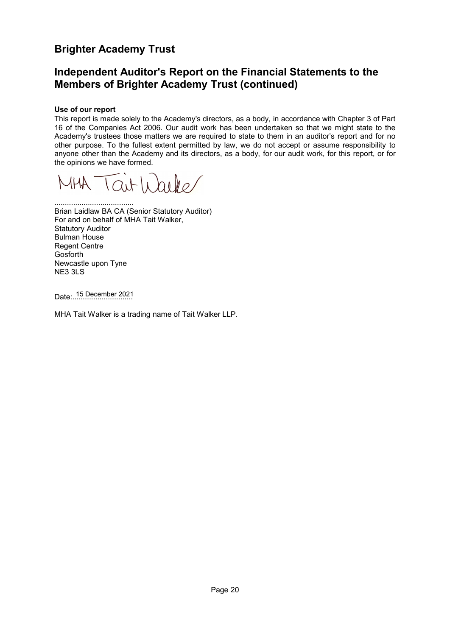### **Independent Auditor's Report on the Financial Statements to the Members of Brighter Academy Trust (continued)**

#### **Use of our report**

This report is made solely to the Academy's directors, as a body, in accordance with Chapter 3 of Part 16 of the Companies Act 2006. Our audit work has been undertaken so that we might state to the Academy's trustees those matters we are required to state to them in an auditor's report and for no other purpose. To the fullest extent permitted by law, we do not accept or assume responsibility to anyone other than the Academy and its directors, as a body, for our audit work, for this report, or for the opinions we have formed.

Taithbolo  $MHA$ 

...................................... Brian Laidlaw BA CA (Senior Statutory Auditor) For and on behalf of MHA Tait Walker, Statutory Auditor Bulman House Regent Centre Gosforth Newcastle upon Tyne NE3 3LS

Date:............................. 15 December 2021

MHA Tait Walker is a trading name of Tait Walker LLP.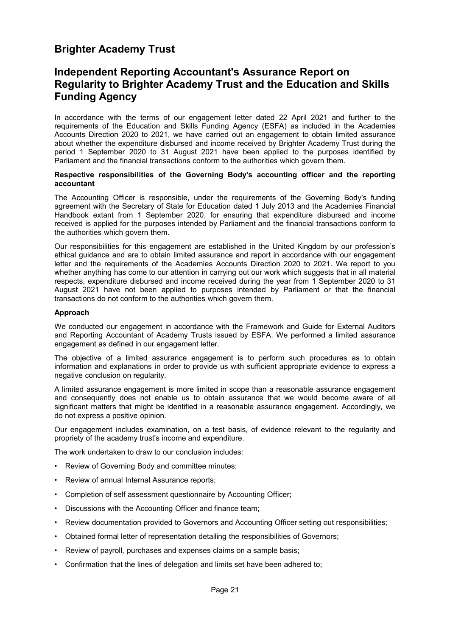### <span id="page-22-0"></span>**Independent Reporting Accountant's Assurance Report on Regularity to Brighter Academy Trust and the Education and Skills Funding Agency**

In accordance with the terms of our engagement letter dated 22 April 2021 and further to the requirements of the Education and Skills Funding Agency (ESFA) as included in the Academies Accounts Direction 2020 to 2021, we have carried out an engagement to obtain limited assurance about whether the expenditure disbursed and income received by Brighter Academy Trust during the period 1 September 2020 to 31 August 2021 have been applied to the purposes identified by Parliament and the financial transactions conform to the authorities which govern them.

#### **Respective responsibilities of the Governing Body's accounting officer and the reporting accountant**

The Accounting Officer is responsible, under the requirements of the Governing Body's funding agreement with the Secretary of State for Education dated 1 July 2013 and the Academies Financial Handbook extant from 1 September 2020, for ensuring that expenditure disbursed and income received is applied for the purposes intended by Parliament and the financial transactions conform to the authorities which govern them.

Our responsibilities for this engagement are established in the United Kingdom by our profession's ethical guidance and are to obtain limited assurance and report in accordance with our engagement letter and the requirements of the Academies Accounts Direction 2020 to 2021. We report to you whether anything has come to our attention in carrying out our work which suggests that in all material respects, expenditure disbursed and income received during the year from 1 September 2020 to 31 August 2021 have not been applied to purposes intended by Parliament or that the financial transactions do not conform to the authorities which govern them.

#### **Approach**

We conducted our engagement in accordance with the Framework and Guide for External Auditors and Reporting Accountant of Academy Trusts issued by ESFA. We performed a limited assurance engagement as defined in our engagement letter.

The objective of a limited assurance engagement is to perform such procedures as to obtain information and explanations in order to provide us with sufficient appropriate evidence to express a negative conclusion on regularity.

A limited assurance engagement is more limited in scope than a reasonable assurance engagement and consequently does not enable us to obtain assurance that we would become aware of all significant matters that might be identified in a reasonable assurance engagement. Accordingly, we do not express a positive opinion.

Our engagement includes examination, on a test basis, of evidence relevant to the regularity and propriety of the academy trust's income and expenditure.

The work undertaken to draw to our conclusion includes:

- Review of Governing Body and committee minutes;
- Review of annual Internal Assurance reports;
- Completion of self assessment questionnaire by Accounting Officer;
- Discussions with the Accounting Officer and finance team;
- Review documentation provided to Governors and Accounting Officer setting out responsibilities;
- Obtained formal letter of representation detailing the responsibilities of Governors;
- Review of payroll, purchases and expenses claims on a sample basis;
- Confirmation that the lines of delegation and limits set have been adhered to;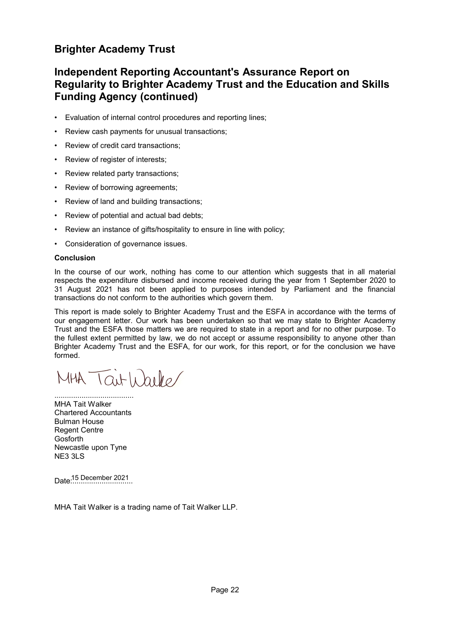### **Independent Reporting Accountant's Assurance Report on Regularity to Brighter Academy Trust and the Education and Skills Funding Agency (continued)**

- Evaluation of internal control procedures and reporting lines;
- Review cash payments for unusual transactions;
- Review of credit card transactions;
- Review of register of interests;
- Review related party transactions;
- Review of borrowing agreements;
- Review of land and building transactions;
- Review of potential and actual bad debts;
- Review an instance of gifts/hospitality to ensure in line with policy;
- Consideration of governance issues.

#### **Conclusion**

In the course of our work, nothing has come to our attention which suggests that in all material respects the expenditure disbursed and income received during the year from 1 September 2020 to 31 August 2021 has not been applied to purposes intended by Parliament and the financial transactions do not conform to the authorities which govern them.

This report is made solely to Brighter Academy Trust and the ESFA in accordance with the terms of our engagement letter. Our work has been undertaken so that we may state to Brighter Academy Trust and the ESFA those matters we are required to state in a report and for no other purpose. To the fullest extent permitted by law, we do not accept or assume responsibility to anyone other than Brighter Academy Trust and the ESFA, for our work, for this report, or for the conclusion we have formed.

MHA Taithaile/

...................................... MHA Tait Walker Chartered Accountants Bulman House Regent Centre **Gosforth** Newcastle upon Tyne NE3 3LS

Date:............................. 15 December 2021

MHA Tait Walker is a trading name of Tait Walker LLP.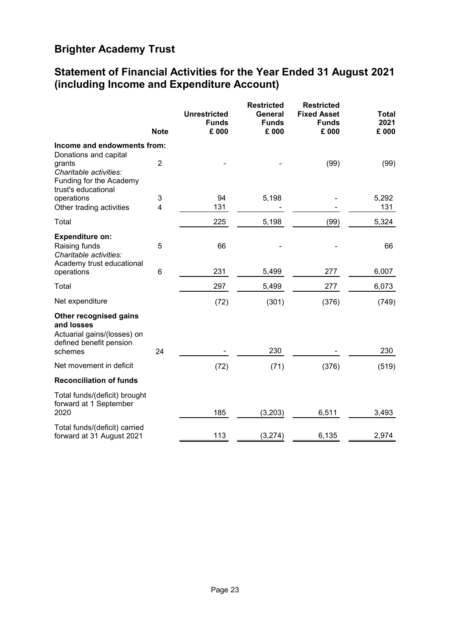## <span id="page-24-0"></span>**Statement of Financial Activities for the Year Ended 31 August 2021 (including Income and Expenditure Account)**

|                                                                                                             | <b>Note</b>    | <b>Unrestricted</b><br><b>Funds</b><br>£ 000 | <b>Restricted</b><br>General<br><b>Funds</b><br>£ 000 | <b>Restricted</b><br><b>Fixed Asset</b><br><b>Funds</b><br>£ 000 | Total<br>2021<br>£ 000 |
|-------------------------------------------------------------------------------------------------------------|----------------|----------------------------------------------|-------------------------------------------------------|------------------------------------------------------------------|------------------------|
| Income and endowments from:                                                                                 |                |                                              |                                                       |                                                                  |                        |
| Donations and capital<br>grants<br>Charitable activities:<br>Funding for the Academy<br>trust's educational | $\overline{2}$ |                                              |                                                       | (99)                                                             | (99)                   |
| operations                                                                                                  | 3              | 94                                           | 5,198                                                 |                                                                  | 5,292                  |
| Other trading activities                                                                                    | $\overline{4}$ | 131                                          |                                                       |                                                                  | 131                    |
| Total                                                                                                       |                | 225                                          | 5,198                                                 | (99)                                                             | 5,324                  |
| <b>Expenditure on:</b><br>Raising funds<br>Charitable activities:                                           | 5              | 66                                           |                                                       |                                                                  | 66                     |
| Academy trust educational<br>operations                                                                     | 6              | 231                                          | 5,499                                                 | 277                                                              | 6,007                  |
| Total                                                                                                       |                | 297                                          | 5,499                                                 | 277                                                              | 6,073                  |
| Net expenditure                                                                                             |                | (72)                                         | (301)                                                 | (376)                                                            | (749)                  |
| Other recognised gains<br>and losses<br>Actuarial gains/(losses) on<br>defined benefit pension<br>schemes   | 24             |                                              | 230                                                   |                                                                  | 230                    |
| Net movement in deficit                                                                                     |                | (72)                                         | (71)                                                  | (376)                                                            | (519)                  |
| <b>Reconciliation of funds</b>                                                                              |                |                                              |                                                       |                                                                  |                        |
| Total funds/(deficit) brought<br>forward at 1 September<br>2020                                             |                | 185                                          | (3,203)                                               | 6,511                                                            | 3,493                  |
| Total funds/(deficit) carried<br>forward at 31 August 2021                                                  |                | 113                                          | (3, 274)                                              | 6,135                                                            | 2,974                  |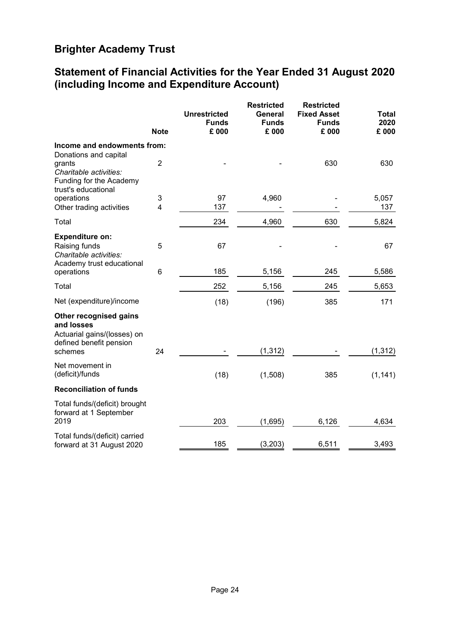## **Statement of Financial Activities for the Year Ended 31 August 2020 (including Income and Expenditure Account)**

|                                                                                                             | <b>Note</b>    | <b>Unrestricted</b><br><b>Funds</b><br>£ 000 | <b>Restricted</b><br><b>General</b><br><b>Funds</b><br>£ 000 | <b>Restricted</b><br><b>Fixed Asset</b><br><b>Funds</b><br>£ 000 | <b>Total</b><br>2020<br>£ 000 |
|-------------------------------------------------------------------------------------------------------------|----------------|----------------------------------------------|--------------------------------------------------------------|------------------------------------------------------------------|-------------------------------|
| Income and endowments from:                                                                                 |                |                                              |                                                              |                                                                  |                               |
| Donations and capital<br>grants<br>Charitable activities:<br>Funding for the Academy<br>trust's educational | $\overline{2}$ |                                              |                                                              | 630                                                              | 630                           |
| operations                                                                                                  | 3              | 97                                           | 4,960                                                        |                                                                  | 5,057                         |
| Other trading activities                                                                                    | 4              | 137                                          |                                                              |                                                                  | 137                           |
| Total                                                                                                       |                | 234                                          | 4,960                                                        | 630                                                              | 5,824                         |
| <b>Expenditure on:</b><br>Raising funds<br>Charitable activities:                                           | 5              | 67                                           |                                                              |                                                                  | 67                            |
| Academy trust educational<br>operations                                                                     | 6              | 185                                          | 5,156                                                        | 245                                                              | 5,586                         |
| Total                                                                                                       |                | 252                                          | 5,156                                                        | 245                                                              | 5,653                         |
| Net (expenditure)/income                                                                                    |                | (18)                                         | (196)                                                        | 385                                                              | 171                           |
| Other recognised gains<br>and losses<br>Actuarial gains/(losses) on<br>defined benefit pension<br>schemes   | 24             |                                              | (1, 312)                                                     |                                                                  | (1, 312)                      |
| Net movement in<br>(deficit)/funds                                                                          |                | (18)                                         | (1,508)                                                      | 385                                                              | (1, 141)                      |
| <b>Reconciliation of funds</b>                                                                              |                |                                              |                                                              |                                                                  |                               |
| Total funds/(deficit) brought<br>forward at 1 September<br>2019                                             |                | 203                                          | (1,695)                                                      | 6,126                                                            | 4,634                         |
| Total funds/(deficit) carried<br>forward at 31 August 2020                                                  |                | 185                                          | (3,203)                                                      | 6,511                                                            | 3,493                         |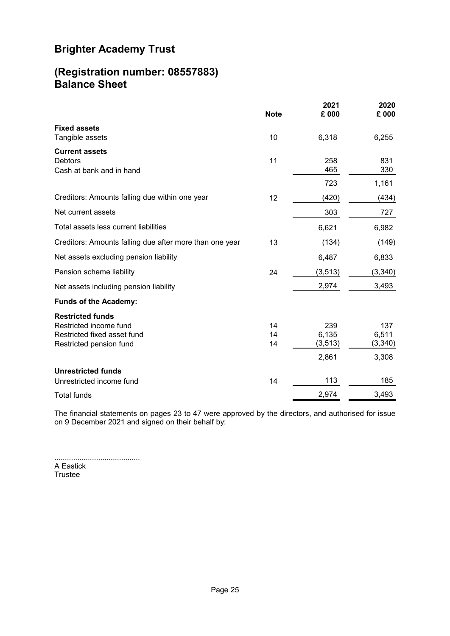### <span id="page-26-0"></span>**(Registration number: 08557883) Balance Sheet**

|                                                                                                             | <b>Note</b>    | 2021<br>£ 000            | 2020<br>£ 000           |
|-------------------------------------------------------------------------------------------------------------|----------------|--------------------------|-------------------------|
| <b>Fixed assets</b><br>Tangible assets                                                                      | 10             | 6,318                    | 6,255                   |
| <b>Current assets</b><br><b>Debtors</b><br>Cash at bank and in hand                                         | 11             | 258<br>465               | 831<br>330              |
|                                                                                                             |                | 723                      | 1,161                   |
| Creditors: Amounts falling due within one year                                                              | 12             | (420)                    | (434)                   |
| Net current assets                                                                                          |                | 303                      | 727                     |
| Total assets less current liabilities                                                                       |                | 6,621                    | 6,982                   |
| Creditors: Amounts falling due after more than one year                                                     | 13             | (134)                    | (149)                   |
| Net assets excluding pension liability                                                                      |                | 6,487                    | 6,833                   |
| Pension scheme liability                                                                                    | 24             | (3, 513)                 | (3,340)                 |
| Net assets including pension liability                                                                      |                | 2,974                    | 3,493                   |
| <b>Funds of the Academy:</b>                                                                                |                |                          |                         |
| <b>Restricted funds</b><br>Restricted income fund<br>Restricted fixed asset fund<br>Restricted pension fund | 14<br>14<br>14 | 239<br>6,135<br>(3, 513) | 137<br>6,511<br>(3,340) |
|                                                                                                             |                | 2,861                    | 3,308                   |
| <b>Unrestricted funds</b><br>Unrestricted income fund                                                       | 14             | 113                      | 185                     |
| <b>Total funds</b>                                                                                          |                | 2,974                    | 3,493                   |

The financial statements on pages [23](#page-24-0) to [47](#page-24-0) were approved by the directors, and authorised for issue on 9 December 2021 and signed on their behalf by:

......................................... A Eastick Trustee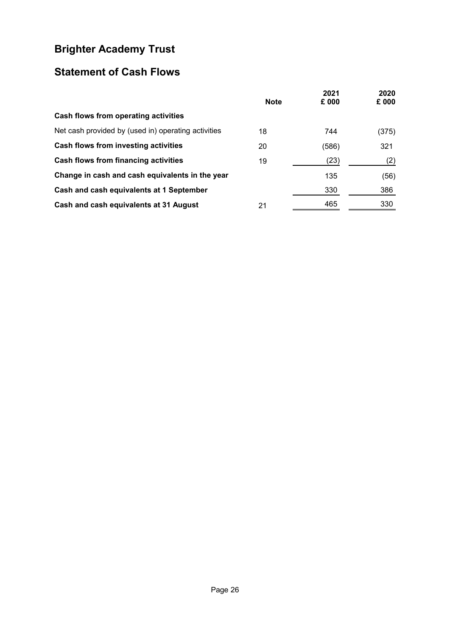# <span id="page-27-0"></span>**Statement of Cash Flows**

|                                                     | <b>Note</b> | 2021<br>£ 000 | 2020<br>£ 000 |
|-----------------------------------------------------|-------------|---------------|---------------|
| Cash flows from operating activities                |             |               |               |
| Net cash provided by (used in) operating activities | 18          | 744           | (375)         |
| Cash flows from investing activities                | 20          | (586)         | 321           |
| Cash flows from financing activities                | 19          | (23)          | (2)           |
| Change in cash and cash equivalents in the year     |             | 135           | (56)          |
| Cash and cash equivalents at 1 September            |             | 330           | 386           |
| Cash and cash equivalents at 31 August              | 21          | 465           | 330           |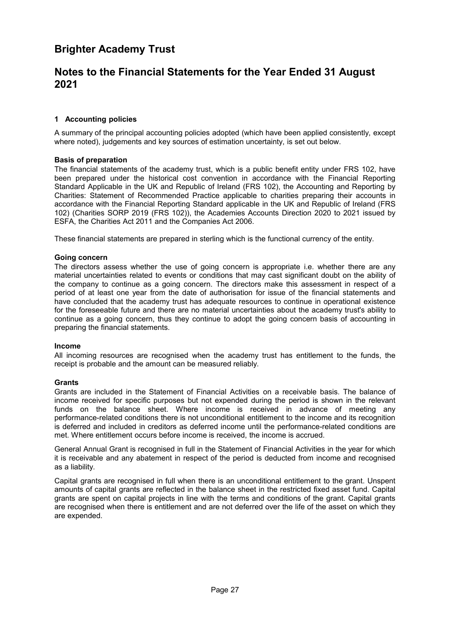### <span id="page-28-1"></span><span id="page-28-0"></span>**Notes to the Financial Statements for the Year Ended 31 August 2021**

#### **[1](#page-28-1) Accounting policies**

A summary of the principal accounting policies adopted (which have been applied consistently, except where noted), judgements and key sources of estimation uncertainty, is set out below.

#### **Basis of preparation**

The financial statements of the academy trust, which is a public benefit entity under FRS 102, have been prepared under the historical cost convention in accordance with the Financial Reporting Standard Applicable in the UK and Republic of Ireland (FRS 102), the Accounting and Reporting by Charities: Statement of Recommended Practice applicable to charities preparing their accounts in accordance with the Financial Reporting Standard applicable in the UK and Republic of Ireland (FRS 102) (Charities SORP 2019 (FRS 102)), the Academies Accounts Direction 2020 to 2021 issued by ESFA, the Charities Act 2011 and the Companies Act 2006.

These financial statements are prepared in sterling which is the functional currency of the entity.

#### **Going concern**

The directors assess whether the use of going concern is appropriate i.e. whether there are any material uncertainties related to events or conditions that may cast significant doubt on the ability of the company to continue as a going concern. The directors make this assessment in respect of a period of at least one year from the date of authorisation for issue of the financial statements and have concluded that the academy trust has adequate resources to continue in operational existence for the foreseeable future and there are no material uncertainties about the academy trust's ability to continue as a going concern, thus they continue to adopt the going concern basis of accounting in preparing the financial statements.

#### **Income**

All incoming resources are recognised when the academy trust has entitlement to the funds, the receipt is probable and the amount can be measured reliably.

#### **Grants**

Grants are included in the Statement of Financial Activities on a receivable basis. The balance of income received for specific purposes but not expended during the period is shown in the relevant funds on the balance sheet. Where income is received in advance of meeting any performance-related conditions there is not unconditional entitlement to the income and its recognition is deferred and included in creditors as deferred income until the performance-related conditions are met. Where entitlement occurs before income is received, the income is accrued.

General Annual Grant is recognised in full in the Statement of Financial Activities in the year for which it is receivable and any abatement in respect of the period is deducted from income and recognised as a liability.

Capital grants are recognised in full when there is an unconditional entitlement to the grant. Unspent amounts of capital grants are reflected in the balance sheet in the restricted fixed asset fund. Capital grants are spent on capital projects in line with the terms and conditions of the grant. Capital grants are recognised when there is entitlement and are not deferred over the life of the asset on which they are expended.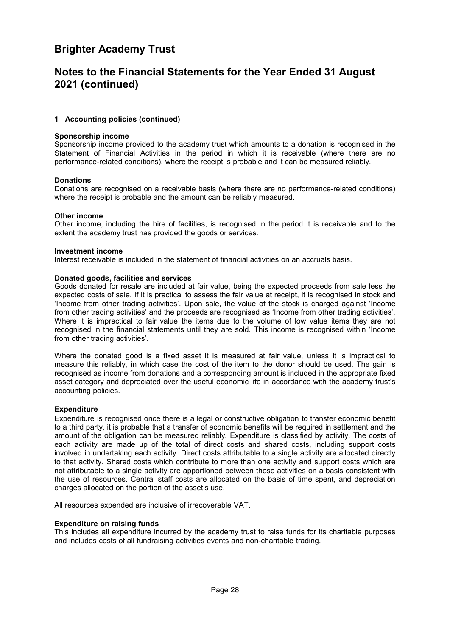### **Notes to the Financial Statements for the Year Ended 31 August 2021 (continued)**

#### **[1](#page-28-1) Accounting policies (continued)**

#### **Sponsorship income**

Sponsorship income provided to the academy trust which amounts to a donation is recognised in the Statement of Financial Activities in the period in which it is receivable (where there are no performance-related conditions), where the receipt is probable and it can be measured reliably.

#### **Donations**

Donations are recognised on a receivable basis (where there are no performance-related conditions) where the receipt is probable and the amount can be reliably measured.

#### **Other income**

Other income, including the hire of facilities, is recognised in the period it is receivable and to the extent the academy trust has provided the goods or services.

#### **Investment income**

Interest receivable is included in the statement of financial activities on an accruals basis.

#### **Donated goods, facilities and services**

Goods donated for resale are included at fair value, being the expected proceeds from sale less the expected costs of sale. If it is practical to assess the fair value at receipt, it is recognised in stock and 'Income from other trading activities'. Upon sale, the value of the stock is charged against 'Income from other trading activities' and the proceeds are recognised as 'Income from other trading activities'. Where it is impractical to fair value the items due to the volume of low value items they are not recognised in the financial statements until they are sold. This income is recognised within 'Income from other trading activities'.

Where the donated good is a fixed asset it is measured at fair value, unless it is impractical to measure this reliably, in which case the cost of the item to the donor should be used. The gain is recognised as income from donations and a corresponding amount is included in the appropriate fixed asset category and depreciated over the useful economic life in accordance with the academy trust's accounting policies.

#### **Expenditure**

Expenditure is recognised once there is a legal or constructive obligation to transfer economic benefit to a third party, it is probable that a transfer of economic benefits will be required in settlement and the amount of the obligation can be measured reliably. Expenditure is classified by activity. The costs of each activity are made up of the total of direct costs and shared costs, including support costs involved in undertaking each activity. Direct costs attributable to a single activity are allocated directly to that activity. Shared costs which contribute to more than one activity and support costs which are not attributable to a single activity are apportioned between those activities on a basis consistent with the use of resources. Central staff costs are allocated on the basis of time spent, and depreciation charges allocated on the portion of the asset's use.

All resources expended are inclusive of irrecoverable VAT.

#### **Expenditure on raising funds**

This includes all expenditure incurred by the academy trust to raise funds for its charitable purposes and includes costs of all fundraising activities events and non-charitable trading.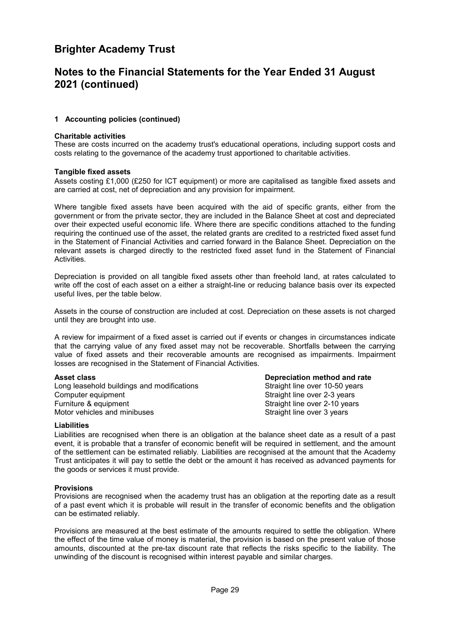### **Notes to the Financial Statements for the Year Ended 31 August 2021 (continued)**

#### **[1](#page-28-1) Accounting policies (continued)**

#### **Charitable activities**

These are costs incurred on the academy trust's educational operations, including support costs and costs relating to the governance of the academy trust apportioned to charitable activities.

#### **Tangible fixed assets**

Assets costing £1,000 (£250 for ICT equipment) or more are capitalised as tangible fixed assets and are carried at cost, net of depreciation and any provision for impairment.

Where tangible fixed assets have been acquired with the aid of specific grants, either from the government or from the private sector, they are included in the Balance Sheet at cost and depreciated over their expected useful economic life. Where there are specific conditions attached to the funding requiring the continued use of the asset, the related grants are credited to a restricted fixed asset fund in the Statement of Financial Activities and carried forward in the Balance Sheet. Depreciation on the relevant assets is charged directly to the restricted fixed asset fund in the Statement of Financial Activities.

Depreciation is provided on all tangible fixed assets other than freehold land, at rates calculated to write off the cost of each asset on a either a straight-line or reducing balance basis over its expected useful lives, per the table below.

Assets in the course of construction are included at cost. Depreciation on these assets is not charged until they are brought into use.

A review for impairment of a fixed asset is carried out if events or changes in circumstances indicate that the carrying value of any fixed asset may not be recoverable. Shortfalls between the carrying value of fixed assets and their recoverable amounts are recognised as impairments. Impairment losses are recognised in the Statement of Financial Activities.

Long leasehold buildings and modifications Computer equipment  $\qquad \qquad \qquad$  Straight line over 2-3 years Furniture & equipment The Straight line over 2-10 years Motor vehicles and minibuses **Straight line over 3 years** Straight line over 3 years

**Asset class Depreciation method and rate**

#### **Liabilities**

Liabilities are recognised when there is an obligation at the balance sheet date as a result of a past event, it is probable that a transfer of economic benefit will be required in settlement, and the amount of the settlement can be estimated reliably. Liabilities are recognised at the amount that the Academy Trust anticipates it will pay to settle the debt or the amount it has received as advanced payments for the goods or services it must provide.

#### **Provisions**

Provisions are recognised when the academy trust has an obligation at the reporting date as a result of a past event which it is probable will result in the transfer of economic benefits and the obligation can be estimated reliably.

Provisions are measured at the best estimate of the amounts required to settle the obligation. Where the effect of the time value of money is material, the provision is based on the present value of those amounts, discounted at the pre-tax discount rate that reflects the risks specific to the liability. The unwinding of the discount is recognised within interest payable and similar charges.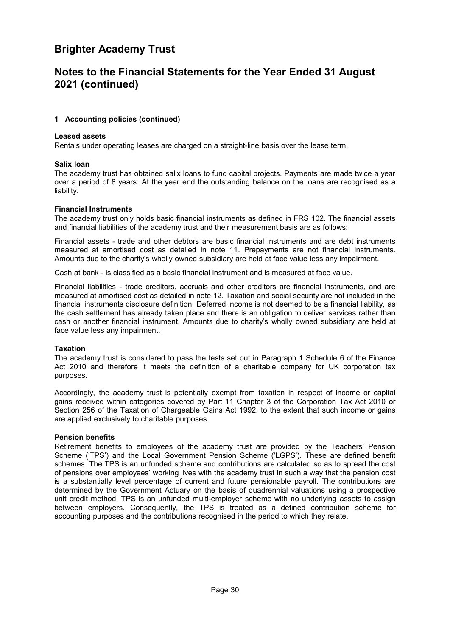### **Notes to the Financial Statements for the Year Ended 31 August 2021 (continued)**

#### **[1](#page-28-1) Accounting policies (continued)**

#### **Leased assets**

Rentals under operating leases are charged on a straight-line basis over the lease term.

#### **Salix loan**

The academy trust has obtained salix loans to fund capital projects. Payments are made twice a year over a period of 8 years. At the year end the outstanding balance on the loans are recognised as a liability.

#### **Financial Instruments**

The academy trust only holds basic financial instruments as defined in FRS 102. The financial assets and financial liabilities of the academy trust and their measurement basis are as follows:

Financial assets - trade and other debtors are basic financial instruments and are debt instruments measured at amortised cost as detailed in note 11. Prepayments are not financial instruments. Amounts due to the charity's wholly owned subsidiary are held at face value less any impairment.

Cash at bank - is classified as a basic financial instrument and is measured at face value.

Financial liabilities - trade creditors, accruals and other creditors are financial instruments, and are measured at amortised cost as detailed in note 12. Taxation and social security are not included in the financial instruments disclosure definition. Deferred income is not deemed to be a financial liability, as the cash settlement has already taken place and there is an obligation to deliver services rather than cash or another financial instrument. Amounts due to charity's wholly owned subsidiary are held at face value less any impairment.

#### **Taxation**

The academy trust is considered to pass the tests set out in Paragraph 1 Schedule 6 of the Finance Act 2010 and therefore it meets the definition of a charitable company for UK corporation tax purposes.

Accordingly, the academy trust is potentially exempt from taxation in respect of income or capital gains received within categories covered by Part 11 Chapter 3 of the Corporation Tax Act 2010 or Section 256 of the Taxation of Chargeable Gains Act 1992, to the extent that such income or gains are applied exclusively to charitable purposes.

#### **Pension benefits**

Retirement benefits to employees of the academy trust are provided by the Teachers' Pension Scheme ('TPS') and the Local Government Pension Scheme ('LGPS'). These are defined benefit schemes. The TPS is an unfunded scheme and contributions are calculated so as to spread the cost of pensions over employees' working lives with the academy trust in such a way that the pension cost is a substantially level percentage of current and future pensionable payroll. The contributions are determined by the Government Actuary on the basis of quadrennial valuations using a prospective unit credit method. TPS is an unfunded multi-employer scheme with no underlying assets to assign between employers. Consequently, the TPS is treated as a defined contribution scheme for accounting purposes and the contributions recognised in the period to which they relate.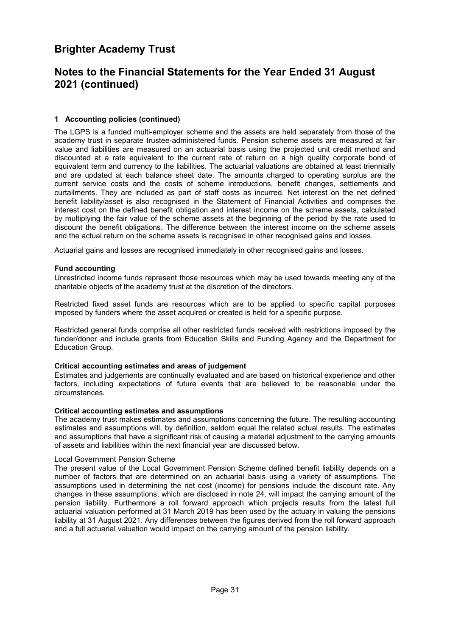### **Notes to the Financial Statements for the Year Ended 31 August 2021 (continued)**

#### **[1](#page-28-1) Accounting policies (continued)**

The LGPS is a funded multi-employer scheme and the assets are held separately from those of the academy trust in separate trustee-administered funds. Pension scheme assets are measured at fair value and liabilities are measured on an actuarial basis using the projected unit credit method and discounted at a rate equivalent to the current rate of return on a high quality corporate bond of equivalent term and currency to the liabilities. The actuarial valuations are obtained at least triennially and are updated at each balance sheet date. The amounts charged to operating surplus are the current service costs and the costs of scheme introductions, benefit changes, settlements and curtailments. They are included as part of staff costs as incurred. Net interest on the net defined benefit liability/asset is also recognised in the Statement of Financial Activities and comprises the interest cost on the defined benefit obligation and interest income on the scheme assets, calculated by multiplying the fair value of the scheme assets at the beginning of the period by the rate used to discount the benefit obligations. The difference between the interest income on the scheme assets and the actual return on the scheme assets is recognised in other recognised gains and losses.

Actuarial gains and losses are recognised immediately in other recognised gains and losses.

#### **Fund accounting**

Unrestricted income funds represent those resources which may be used towards meeting any of the charitable objects of the academy trust at the discretion of the directors.

Restricted fixed asset funds are resources which are to be applied to specific capital purposes imposed by funders where the asset acquired or created is held for a specific purpose.

Restricted general funds comprise all other restricted funds received with restrictions imposed by the funder/donor and include grants from Education Skills and Funding Agency and the Department for Education Group.

#### **Critical accounting estimates and areas of judgement**

Estimates and judgements are continually evaluated and are based on historical experience and other factors, including expectations of future events that are believed to be reasonable under the circumstances.

#### **Critical accounting estimates and assumptions**

The academy trust makes estimates and assumptions concerning the future. The resulting accounting estimates and assumptions will, by definition, seldom equal the related actual results. The estimates and assumptions that have a significant risk of causing a material adjustment to the carrying amounts of assets and liabilities within the next financial year are discussed below.

#### Local Government Pension Scheme

The present value of the Local Government Pension Scheme defined benefit liability depends on a number of factors that are determined on an actuarial basis using a variety of assumptions. The assumptions used in determining the net cost (income) for pensions include the discount rate. Any changes in these assumptions, which are disclosed in note 24, will impact the carrying amount of the pension liability. Furthermore a roll forward approach which projects results from the latest full actuarial valuation performed at 31 March 2019 has been used by the actuary in valuing the pensions liability at 31 August 2021. Any differences between the figures derived from the roll forward approach and a full actuarial valuation would impact on the carrying amount of the pension liability.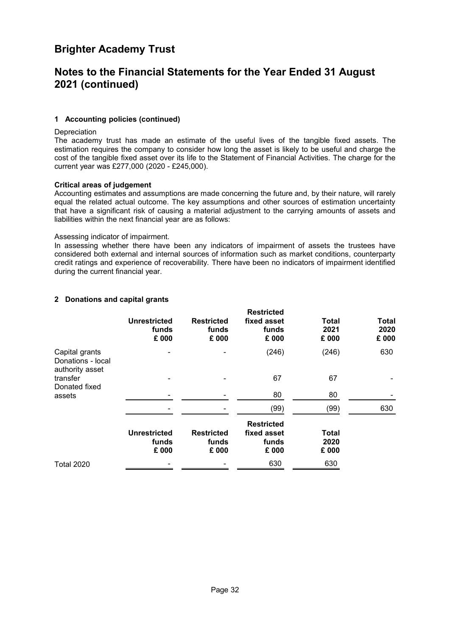### **Notes to the Financial Statements for the Year Ended 31 August 2021 (continued)**

#### **[1](#page-28-1) Accounting policies (continued)**

Depreciation

The academy trust has made an estimate of the useful lives of the tangible fixed assets. The estimation requires the company to consider how long the asset is likely to be useful and charge the cost of the tangible fixed asset over its life to the Statement of Financial Activities. The charge for the current year was £277,000 (2020 - £245,000).

#### **Critical areas of judgement**

Accounting estimates and assumptions are made concerning the future and, by their nature, will rarely equal the related actual outcome. The key assumptions and other sources of estimation uncertainty that have a significant risk of causing a material adjustment to the carrying amounts of assets and liabilities within the next financial year are as follows:

#### Assessing indicator of impairment.

<span id="page-33-0"></span>In assessing whether there have been any indicators of impairment of assets the trustees have considered both external and internal sources of information such as market conditions, counterparty credit ratings and experience of recoverability. There have been no indicators of impairment identified during the current financial year.

#### **[2](#page-33-0) Donations and capital grants**

|                                                        | <b>Unrestricted</b><br>funds<br>£ 000 | <b>Restricted</b><br>funds<br>£ 000 | <b>Restricted</b><br>fixed asset<br>funds<br>£ 000 | Total<br>2021<br>£ 000 | <b>Total</b><br>2020<br>£ 000 |
|--------------------------------------------------------|---------------------------------------|-------------------------------------|----------------------------------------------------|------------------------|-------------------------------|
| Capital grants<br>Donations - local<br>authority asset |                                       |                                     | (246)                                              | (246)                  | 630                           |
| transfer<br>Donated fixed                              |                                       |                                     | 67                                                 | 67                     |                               |
| assets                                                 |                                       |                                     | 80                                                 | 80                     |                               |
|                                                        |                                       |                                     | (99)                                               | (99)                   | 630                           |
|                                                        | <b>Unrestricted</b><br>funds<br>£ 000 | <b>Restricted</b><br>funds<br>£ 000 | <b>Restricted</b><br>fixed asset<br>funds<br>£ 000 | Total<br>2020<br>£ 000 |                               |
| <b>Total 2020</b>                                      |                                       |                                     | 630                                                | 630                    |                               |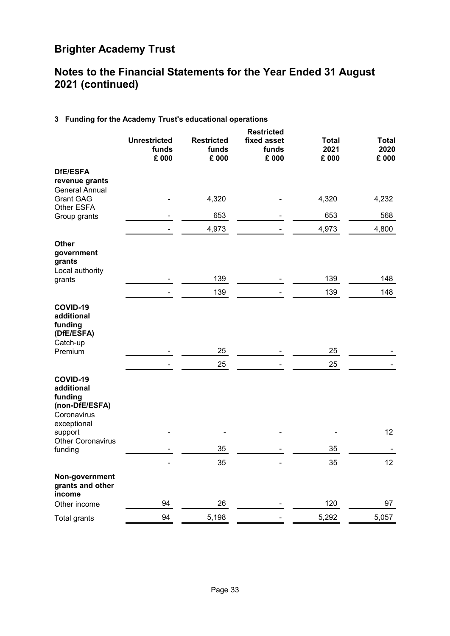### <span id="page-34-0"></span>**Notes to the Financial Statements for the Year Ended 31 August 2021 (continued)**

### **[3](#page-34-0) Funding for the Academy Trust's educational operations**

|                                                                                              | <b>Unrestricted</b><br>funds<br>£ 000 | <b>Restricted</b><br>funds<br>£ 000 | <b>Restricted</b><br>fixed asset<br>funds<br>£ 000 | <b>Total</b><br>2021<br>£ 000 | <b>Total</b><br>2020<br>£ 000 |
|----------------------------------------------------------------------------------------------|---------------------------------------|-------------------------------------|----------------------------------------------------|-------------------------------|-------------------------------|
| <b>DfE/ESFA</b><br>revenue grants                                                            |                                       |                                     |                                                    |                               |                               |
| <b>General Annual</b><br><b>Grant GAG</b><br><b>Other ESFA</b>                               |                                       | 4,320                               |                                                    | 4,320                         | 4,232                         |
| Group grants                                                                                 |                                       | 653                                 |                                                    | 653                           | 568                           |
|                                                                                              |                                       | 4,973                               |                                                    | 4,973                         | 4,800                         |
| <b>Other</b><br>government<br>grants<br>Local authority                                      |                                       |                                     |                                                    |                               |                               |
| grants                                                                                       |                                       | 139                                 |                                                    | 139                           | 148                           |
|                                                                                              |                                       | 139                                 |                                                    | 139                           | 148                           |
| COVID-19<br>additional<br>funding<br>(DfE/ESFA)<br>Catch-up<br>Premium                       |                                       | 25<br>25                            |                                                    | 25<br>25                      |                               |
| COVID-19<br>additional<br>funding<br>(non-DfE/ESFA)<br>Coronavirus<br>exceptional<br>support |                                       |                                     |                                                    |                               | 12                            |
| Other Coronavirus<br>funding                                                                 |                                       | 35                                  |                                                    | 35                            |                               |
|                                                                                              |                                       | 35                                  |                                                    | 35                            | 12                            |
| Non-government<br>grants and other<br>income                                                 |                                       |                                     |                                                    |                               |                               |
| Other income                                                                                 | 94                                    | 26                                  |                                                    | 120                           | 97                            |
| <b>Total grants</b>                                                                          | 94                                    | 5,198                               |                                                    | 5,292                         | 5,057                         |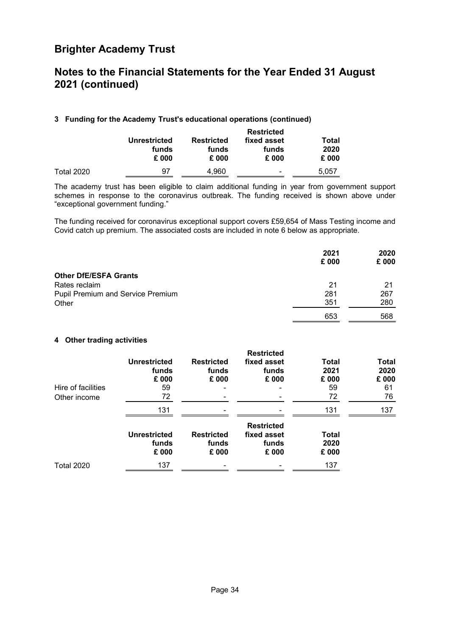### **Notes to the Financial Statements for the Year Ended 31 August 2021 (continued)**

#### **[3](#page-34-0) Funding for the Academy Trust's educational operations (continued)**

|                   |                     | <b>Restricted</b> |                          |               |  |  |  |  |
|-------------------|---------------------|-------------------|--------------------------|---------------|--|--|--|--|
|                   | <b>Unrestricted</b> | <b>Restricted</b> | fixed asset              | Total         |  |  |  |  |
|                   | funds<br>£ 000      | funds<br>£ 000    | funds<br>£ 000           | 2020<br>£ 000 |  |  |  |  |
| <b>Total 2020</b> | 97                  | 4.960             | $\overline{\phantom{0}}$ | 5.057         |  |  |  |  |

The academy trust has been eligible to claim additional funding in year from government support schemes in response to the coronavirus outbreak. The funding received is shown above under "exceptional government funding."

The funding received for coronavirus exceptional support covers £59,654 of Mass Testing income and Covid catch up premium. The associated costs are included in note 6 below as appropriate.

|                                   | 2021<br>£ 000 | 2020<br>£ 000 |
|-----------------------------------|---------------|---------------|
| <b>Other DfE/ESFA Grants</b>      |               |               |
| Rates reclaim                     | 21            | 21            |
| Pupil Premium and Service Premium | 281           | 267           |
| Other                             | 351           | 280           |
|                                   | 653           | 568           |

#### <span id="page-35-0"></span>**[4](#page-35-0) Other trading activities**

| Hire of facilities<br>Other income | <b>Unrestricted</b><br>funds<br>£ 000<br>59<br>72 | <b>Restricted</b><br>funds<br>£ 000 | <b>Restricted</b><br>fixed asset<br>funds<br>£ 000 | Total<br>2021<br>£ 000<br>59<br>72 | <b>Total</b><br>2020<br>£ 000<br>61<br>76 |
|------------------------------------|---------------------------------------------------|-------------------------------------|----------------------------------------------------|------------------------------------|-------------------------------------------|
|                                    | 131                                               |                                     |                                                    | 131                                | 137                                       |
|                                    | <b>Unrestricted</b><br>funds<br>£ 000             | <b>Restricted</b><br>funds<br>£ 000 | <b>Restricted</b><br>fixed asset<br>funds<br>£ 000 | <b>Total</b><br>2020<br>£ 000      |                                           |
| <b>Total 2020</b>                  | 137                                               |                                     |                                                    | 137                                |                                           |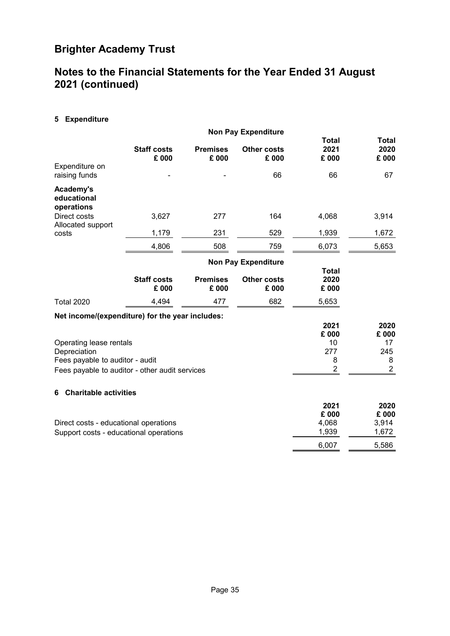### <span id="page-36-0"></span>**Notes to the Financial Statements for the Year Ended 31 August 2021 (continued)**

**[5](#page-36-0) Expenditure**

|                                                                            |                             | <b>Non Pay Expenditure</b> |                             |                               |                               |
|----------------------------------------------------------------------------|-----------------------------|----------------------------|-----------------------------|-------------------------------|-------------------------------|
| Expenditure on                                                             | <b>Staff costs</b><br>£ 000 | <b>Premises</b><br>£ 000   | <b>Other costs</b><br>£ 000 | <b>Total</b><br>2021<br>£ 000 | <b>Total</b><br>2020<br>£ 000 |
| raising funds                                                              |                             |                            | 66                          | 66                            | 67                            |
| Academy's<br>educational<br>operations                                     |                             |                            |                             |                               |                               |
| Direct costs<br>Allocated support                                          | 3,627                       | 277                        | 164                         | 4,068                         | 3,914                         |
| costs                                                                      | 1,179                       | 231                        | 529                         | 1,939                         | 1,672                         |
|                                                                            | 4,806                       | 508                        | 759                         | 6,073                         | 5,653                         |
|                                                                            |                             |                            | <b>Non Pay Expenditure</b>  |                               |                               |
|                                                                            | <b>Staff costs</b><br>£ 000 | <b>Premises</b><br>£ 000   | <b>Other costs</b><br>£ 000 | <b>Total</b><br>2020<br>£ 000 |                               |
| <b>Total 2020</b>                                                          | 4,494                       | 477                        | 682                         | 5,653                         |                               |
| Net income/(expenditure) for the year includes:                            |                             |                            |                             | 2021<br>£ 000                 | 2020<br>£ 000                 |
| Operating lease rentals<br>Depreciation<br>Fees payable to auditor - audit |                             |                            |                             | 10<br>277<br>8                | 17<br>245<br>8                |
| Fees payable to auditor - other audit services                             |                             |                            |                             | $\overline{2}$                | $\overline{2}$                |
| <b>Charitable activities</b><br>6                                          |                             |                            |                             |                               |                               |
|                                                                            | $\sim$ $\sim$               |                            |                             | 2021<br>£ 000<br>$\sim$       | 2020<br>£ 000                 |

<span id="page-36-1"></span>

|                                        | ZUZ I | ZUZU  |
|----------------------------------------|-------|-------|
|                                        | £ 000 | £ 000 |
| Direct costs - educational operations  | 4.068 | 3.914 |
| Support costs - educational operations | 1.939 | 1.672 |
|                                        | 6.007 | 5.586 |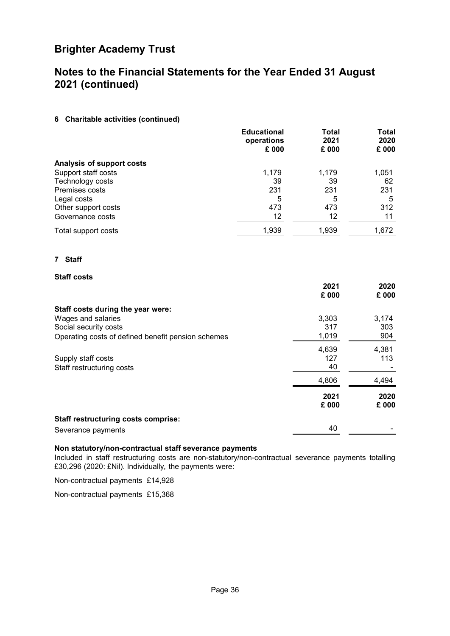### **Notes to the Financial Statements for the Year Ended 31 August 2021 (continued)**

#### **[6](#page-36-1) Charitable activities (continued)**

|                           | <b>Educational</b><br>operations<br>£ 000 | <b>Total</b><br>2021<br>£ 000 | <b>Total</b><br>2020<br>£ 000 |
|---------------------------|-------------------------------------------|-------------------------------|-------------------------------|
| Analysis of support costs |                                           |                               |                               |
| Support staff costs       | 1,179                                     | 1,179                         | 1,051                         |
| Technology costs          | 39                                        | 39                            | 62                            |
| Premises costs            | 231                                       | 231                           | 231                           |
| Legal costs               | 5                                         | 5                             | 5                             |
| Other support costs       | 473                                       | 473                           | 312                           |
| Governance costs          | 12                                        | 12                            | 11                            |
| Total support costs       | 1,939                                     | 1,939                         | 1,672                         |

#### <span id="page-37-0"></span>**[7](#page-37-0) Staff**

#### **Staff costs**

|                                                    | 2021<br>£ 000 | 2020<br>£ 000 |
|----------------------------------------------------|---------------|---------------|
| Staff costs during the year were:                  |               |               |
| Wages and salaries                                 | 3,303         | 3,174         |
| Social security costs                              | 317           | 303           |
| Operating costs of defined benefit pension schemes | 1,019         | 904           |
|                                                    | 4,639         | 4,381         |
| Supply staff costs                                 | 127           | 113           |
| Staff restructuring costs                          | 40            |               |
|                                                    | 4,806         | 4,494         |
|                                                    | 2021          | 2020          |
|                                                    | £ 000         | £ 000         |
| <b>Staff restructuring costs comprise:</b>         |               |               |
| Severance payments                                 | 40            |               |

#### **Non statutory/non-contractual staff severance payments**

Included in staff restructuring costs are non-statutory/non-contractual severance payments totalling £30,296 (2020: £Nil). Individually, the payments were:

Non-contractual payments £14,928

Non-contractual payments £15,368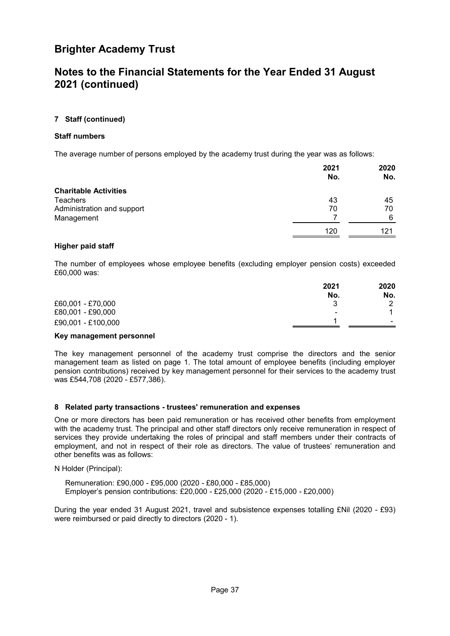### **Notes to the Financial Statements for the Year Ended 31 August 2021 (continued)**

#### **[7](#page-37-0) Staff (continued)**

#### **Staff numbers**

The average number of persons employed by the academy trust during the year was as follows:

|                              | 2021<br>No. | 2020<br>No. |
|------------------------------|-------------|-------------|
| <b>Charitable Activities</b> |             |             |
| <b>Teachers</b>              | 43          | 45          |
| Administration and support   | 70          | 70          |
| Management                   |             | 6           |
|                              | 120         | 121         |

#### **Higher paid staff**

The number of employees whose employee benefits (excluding employer pension costs) exceeded £60,000 was:

|                    | 2021<br>No. | 2020<br>No.              |
|--------------------|-------------|--------------------------|
| £60,001 - £70,000  | વ           | ◠                        |
| £80,001 - £90,000  | ٠           |                          |
| £90,001 - £100,000 |             | $\overline{\phantom{0}}$ |

#### **Key management personnel**

<span id="page-38-0"></span>The key management personnel of the academy trust comprise the directors and the senior management team as listed on page [1](#page-2-0). The total amount of employee benefits (including employer pension contributions) received by key management personnel for their services to the academy trust was £544,708 (2020 - £577,386).

#### **[8](#page-38-0) Related party transactions - trustees' remuneration and expenses**

One or more directors has been paid remuneration or has received other benefits from employment with the academy trust. The principal and other staff directors only receive remuneration in respect of services they provide undertaking the roles of principal and staff members under their contracts of employment, and not in respect of their role as directors. The value of trustees' remuneration and other benefits was as follows:

N Holder (Principal):

Remuneration: £90,000 - £95,000 (2020 - £80,000 - £85,000) Employer's pension contributions: £20,000 - £25,000 (2020 - £15,000 - £20,000)

During the year ended 31 August 2021, travel and subsistence expenses totalling £Nil (2020 - £93) were reimbursed or paid directly to directors (2020 - 1).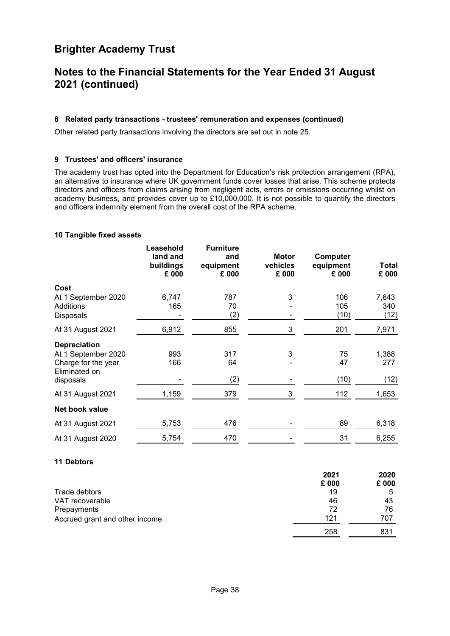### **Notes to the Financial Statements for the Year Ended 31 August 2021 (continued)**

#### **[8](#page-38-0) Related party transactions - trustees' remuneration and expenses (continued)**

<span id="page-39-2"></span>Other related party transactions involving the directors are set out in note [25](#page-48-0).

#### **[9](#page-39-2) Trustees' and officers' insurance**

The academy trust has opted into the Department for Education's risk protection arrangement (RPA), an alternative to insurance where UK government funds cover losses that arise. This scheme protects directors and officers from claims arising from negligent acts, errors or omissions occurring whilst on academy business, and provides cover up to £10,000,000. It is not possible to quantify the directors and officers indemnity element from the overall cost of the RPA scheme.

#### <span id="page-39-0"></span>**[10](#page-39-0) Tangible fixed assets**

| Leasehold<br>land and<br>buildings<br>£ 000 | <b>Furniture</b><br>and<br>equipment<br>£ 000 | <b>Motor</b><br>vehicles<br>£ 000 | Computer<br>equipment<br>£ 000 | <b>Total</b><br>£ 000 |
|---------------------------------------------|-----------------------------------------------|-----------------------------------|--------------------------------|-----------------------|
|                                             |                                               |                                   |                                |                       |
| 6,747                                       | 787                                           | 3                                 | 106                            | 7,643                 |
|                                             | (2)                                           |                                   | (10)                           | 340<br>(12)           |
| 6,912                                       | 855                                           | 3                                 | 201                            | 7,971                 |
|                                             |                                               |                                   |                                |                       |
| 993                                         | 317                                           | 3                                 | 75                             | 1,388                 |
|                                             |                                               |                                   |                                | 277                   |
|                                             | (2)                                           |                                   | (10)                           | (12)                  |
| 1,159                                       | 379                                           | 3                                 | 112                            | 1,653                 |
|                                             |                                               |                                   |                                |                       |
| 5,753                                       | 476                                           |                                   | 89                             | 6,318                 |
| 5,754                                       | 470                                           |                                   | 31                             | 6,255                 |
|                                             | 165<br>166                                    | 70<br>64                          |                                | 105<br>47             |

#### <span id="page-39-1"></span>**[11](#page-39-1) Debtors**

|                                | 2021  | 2020  |
|--------------------------------|-------|-------|
|                                | £ 000 | £ 000 |
| Trade debtors                  | 19    | 5     |
| VAT recoverable                | 46    | 43    |
| Prepayments                    | 72    | 76    |
| Accrued grant and other income | 121   | 707   |
|                                | 258   | 831   |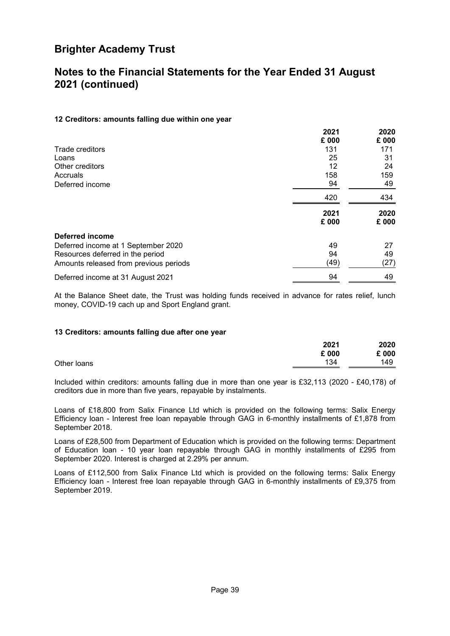### <span id="page-40-0"></span>**Notes to the Financial Statements for the Year Ended 31 August 2021 (continued)**

#### **[12](#page-40-0) Creditors: amounts falling due within one year**

|                                        | 2021<br>£ 000 | 2020<br>£ 000 |
|----------------------------------------|---------------|---------------|
| Trade creditors                        | 131           | 171           |
| Loans                                  | 25            | 31            |
| Other creditors                        | 12            | 24            |
| Accruals                               | 158           | 159           |
| Deferred income                        | 94            | 49            |
|                                        | 420           | 434           |
|                                        | 2021<br>£ 000 | 2020<br>£ 000 |
| <b>Deferred income</b>                 |               |               |
| Deferred income at 1 September 2020    | 49            | 27            |
| Resources deferred in the period       | 94            | 49            |
| Amounts released from previous periods | (49)          | (27)          |
| Deferred income at 31 August 2021      | 94            | 49            |

<span id="page-40-1"></span>At the Balance Sheet date, the Trust was holding funds received in advance for rates relief, lunch money, COVID-19 cach up and Sport England grant.

#### **[13](#page-40-1) Creditors: amounts falling due after one year**

| £ 000 | £ 000 |
|-------|-------|
|       |       |
| 134   | 149   |
|       |       |

Included within creditors: amounts falling due in more than one year is £32,113 (2020 - £40,178) of creditors due in more than five years, repayable by instalments.

Loans of £18,800 from Salix Finance Ltd which is provided on the following terms: Salix Energy Efficiency loan - Interest free loan repayable through GAG in 6-monthly installments of £1,878 from September 2018.

Loans of £28,500 from Department of Education which is provided on the following terms: Department of Education loan - 10 year loan repayable through GAG in monthly installments of £295 from September 2020. Interest is charged at 2.29% per annum.

Loans of £112,500 from Salix Finance Ltd which is provided on the following terms: Salix Energy Efficiency loan - Interest free loan repayable through GAG in 6-monthly installments of £9,375 from September 2019.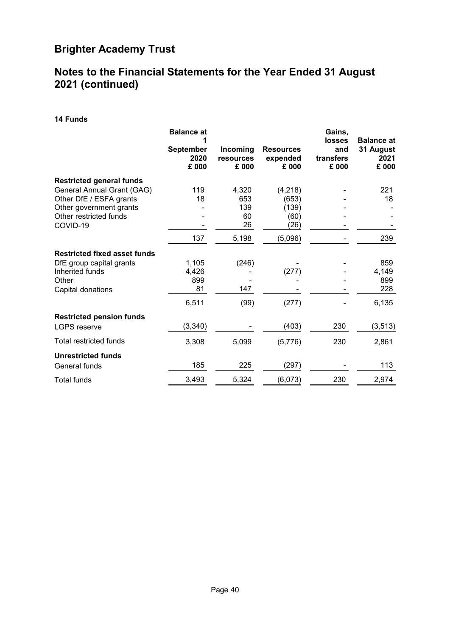### <span id="page-41-0"></span>**Notes to the Financial Statements for the Year Ended 31 August 2021 (continued)**

**[14](#page-41-0) Funds**

|                                                                                  | <b>Balance at</b>                 |                                |                                       | Gains,<br><b>losses</b>   | <b>Balance at</b>          |
|----------------------------------------------------------------------------------|-----------------------------------|--------------------------------|---------------------------------------|---------------------------|----------------------------|
|                                                                                  | <b>September</b><br>2020<br>£ 000 | Incoming<br>resources<br>£ 000 | <b>Resources</b><br>expended<br>£ 000 | and<br>transfers<br>£ 000 | 31 August<br>2021<br>£ 000 |
| <b>Restricted general funds</b>                                                  |                                   |                                |                                       |                           |                            |
| General Annual Grant (GAG)<br>Other DfE / ESFA grants<br>Other government grants | 119<br>18                         | 4,320<br>653<br>139            | (4,218)<br>(653)<br>(139)             |                           | 221<br>18                  |
| Other restricted funds<br>COVID-19                                               |                                   | 60<br>26                       | (60)<br>(26)                          |                           |                            |
|                                                                                  | 137                               | 5,198                          | (5,096)                               |                           | 239                        |
| <b>Restricted fixed asset funds</b>                                              |                                   |                                |                                       |                           |                            |
| DfE group capital grants<br>Inherited funds<br>Other<br>Capital donations        | 1,105<br>4,426<br>899<br>81       | (246)<br>147                   | (277)                                 |                           | 859<br>4,149<br>899<br>228 |
|                                                                                  | 6,511                             | (99)                           | (277)                                 |                           | 6,135                      |
| <b>Restricted pension funds</b><br><b>LGPS</b> reserve                           | (3, 340)                          |                                | (403)                                 | 230                       | (3, 513)                   |
| Total restricted funds                                                           | 3,308                             | 5,099                          | (5,776)                               | 230                       | 2,861                      |
| <b>Unrestricted funds</b><br>General funds                                       | 185                               | 225                            | (297)                                 |                           | 113                        |
| <b>Total funds</b>                                                               | 3,493                             | 5,324                          | (6,073)                               | 230                       | 2,974                      |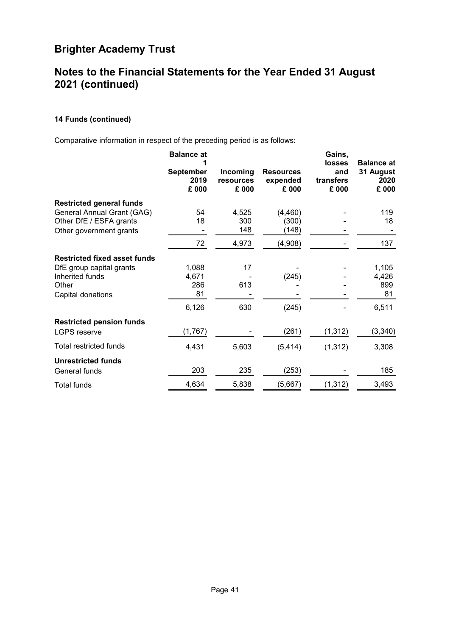### **Notes to the Financial Statements for the Year Ended 31 August 2021 (continued)**

#### **[14](#page-41-0) Funds (continued)**

Comparative information in respect of the preceding period is as follows:

|                                     | <b>Balance at</b><br><b>September</b><br>2019<br>£ 000 | Incoming<br>resources<br>£ 000 | <b>Resources</b><br>expended<br>£ 000 | Gains,<br>losses<br>and<br>transfers<br>£ 000 | <b>Balance at</b><br>31 August<br>2020<br>£ 000 |
|-------------------------------------|--------------------------------------------------------|--------------------------------|---------------------------------------|-----------------------------------------------|-------------------------------------------------|
| <b>Restricted general funds</b>     |                                                        |                                |                                       |                                               |                                                 |
| General Annual Grant (GAG)          | 54                                                     | 4,525                          | (4, 460)                              |                                               | 119                                             |
| Other DfE / ESFA grants             | 18                                                     | 300                            | (300)                                 |                                               | 18                                              |
| Other government grants             |                                                        | 148                            | (148)                                 |                                               |                                                 |
|                                     | 72                                                     | 4,973                          | (4,908)                               |                                               | 137                                             |
| <b>Restricted fixed asset funds</b> |                                                        |                                |                                       |                                               |                                                 |
| DfE group capital grants            | 1,088                                                  | 17                             |                                       |                                               | 1,105                                           |
| Inherited funds                     | 4,671                                                  |                                | (245)                                 |                                               | 4,426                                           |
| Other                               | 286                                                    | 613                            |                                       |                                               | 899                                             |
| Capital donations                   | 81                                                     |                                |                                       |                                               | 81                                              |
|                                     | 6,126                                                  | 630                            | (245)                                 |                                               | 6,511                                           |
| <b>Restricted pension funds</b>     |                                                        |                                |                                       |                                               |                                                 |
| <b>LGPS reserve</b>                 | (1,767)                                                |                                | (261)                                 | (1, 312)                                      | (3, 340)                                        |
| Total restricted funds              | 4,431                                                  | 5,603                          | (5, 414)                              | (1, 312)                                      | 3,308                                           |
| <b>Unrestricted funds</b>           |                                                        |                                |                                       |                                               |                                                 |
| General funds                       | 203                                                    | 235                            | (253)                                 |                                               | 185                                             |
| Total funds                         | 4,634                                                  | 5,838                          | (5,667)                               | (1, 312)                                      | 3,493                                           |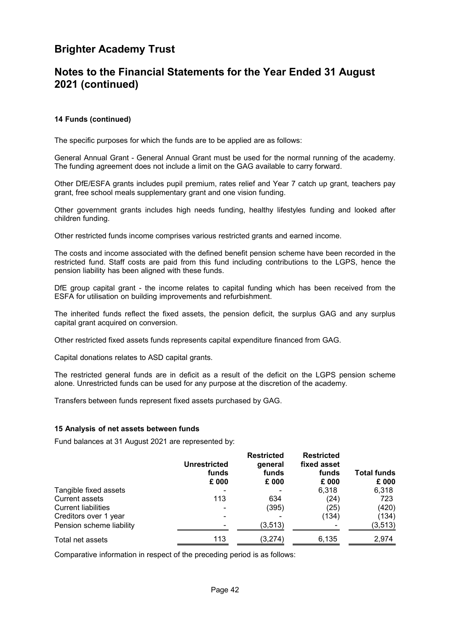### **Notes to the Financial Statements for the Year Ended 31 August 2021 (continued)**

#### **[14](#page-41-0) Funds (continued)**

The specific purposes for which the funds are to be applied are as follows:

General Annual Grant - General Annual Grant must be used for the normal running of the academy. The funding agreement does not include a limit on the GAG available to carry forward.

Other DfE/ESFA grants includes pupil premium, rates relief and Year 7 catch up grant, teachers pay grant, free school meals supplementary grant and one vision funding.

Other government grants includes high needs funding, healthy lifestyles funding and looked after children funding.

Other restricted funds income comprises various restricted grants and earned income.

The costs and income associated with the defined benefit pension scheme have been recorded in the restricted fund. Staff costs are paid from this fund including contributions to the LGPS, hence the pension liability has been aligned with these funds.

DfE group capital grant - the income relates to capital funding which has been received from the ESFA for utilisation on building improvements and refurbishment.

The inherited funds reflect the fixed assets, the pension deficit, the surplus GAG and any surplus capital grant acquired on conversion.

Other restricted fixed assets funds represents capital expenditure financed from GAG.

Capital donations relates to ASD capital grants.

The restricted general funds are in deficit as a result of the deficit on the LGPS pension scheme alone. Unrestricted funds can be used for any purpose at the discretion of the academy.

<span id="page-43-0"></span>Transfers between funds represent fixed assets purchased by GAG.

#### **[15](#page-43-0) Analysis of net assets between funds**

Fund balances at 31 August 2021 are represented by:

|                            | <b>Unrestricted</b><br>funds<br>£ 000 | <b>Restricted</b><br>general<br>funds<br>£ 000 | <b>Restricted</b><br>fixed asset<br>funds<br>£ 000 | <b>Total funds</b><br>£ 000 |
|----------------------------|---------------------------------------|------------------------------------------------|----------------------------------------------------|-----------------------------|
| Tangible fixed assets      |                                       |                                                | 6,318                                              | 6,318                       |
| <b>Current assets</b>      | 113                                   | 634                                            | (24)                                               | 723                         |
| <b>Current liabilities</b> |                                       | (395)                                          | (25)                                               | (420)                       |
| Creditors over 1 year      |                                       |                                                | (134)                                              | (134)                       |
| Pension scheme liability   |                                       | (3, 513)                                       |                                                    | (3, 513)                    |
| Total net assets           | 113                                   | (3,274)                                        | 6,135                                              | 2,974                       |

Comparative information in respect of the preceding period is as follows: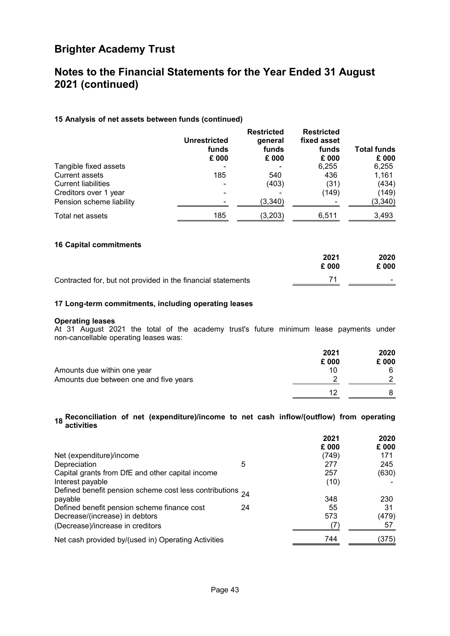### **Notes to the Financial Statements for the Year Ended 31 August 2021 (continued)**

#### **[15](#page-43-0) Analysis of net assets between funds (continued)**

|                            | <b>Unrestricted</b><br>funds<br>£ 000 | <b>Restricted</b><br>general<br>funds<br>£ 000 | <b>Restricted</b><br>fixed asset<br>funds<br>£ 000 | <b>Total funds</b><br>£ 000 |
|----------------------------|---------------------------------------|------------------------------------------------|----------------------------------------------------|-----------------------------|
| Tangible fixed assets      |                                       |                                                | 6,255                                              | 6,255                       |
| <b>Current assets</b>      | 185                                   | 540                                            | 436                                                | 1,161                       |
| <b>Current liabilities</b> |                                       | (403)                                          | (31)                                               | (434)                       |
| Creditors over 1 year      |                                       |                                                | (149)                                              | (149)                       |
| Pension scheme liability   |                                       | (3,340)                                        |                                                    | (3,340)                     |
| Total net assets           | 185                                   | (3,203)                                        | 6,511                                              | 3,493                       |

#### <span id="page-44-1"></span>**[16](#page-44-1) Capital commitments**

<span id="page-44-2"></span>

|                                                              | 2021  | 2020              |
|--------------------------------------------------------------|-------|-------------------|
|                                                              | £ 000 | £ 000             |
| Contracted for, but not provided in the financial statements |       | $\sim$ 100 $\sim$ |

#### **[17](#page-44-2) Long-term commitments, including operating leases**

#### **Operating leases**

At 31 August 2021 the total of the academy trust's future minimum lease payments under non-cancellable operating leases was:

|                                        | 2021<br>£ 000 | 2020<br>£ 000 |
|----------------------------------------|---------------|---------------|
| Amounts due within one year            | 10            |               |
| Amounts due between one and five years |               |               |
|                                        | 12            |               |

# <span id="page-44-0"></span>**[18](#page-44-0) Reconciliation of net (expenditure)/income to net cash inflow/(outflow) from operating activities**

|                                                                |    | 2021<br>£ 000 | 2020<br>£ 000 |
|----------------------------------------------------------------|----|---------------|---------------|
| Net (expenditure)/income                                       |    | (749)         | 171           |
| Depreciation                                                   | 5  | 277           | 245           |
| Capital grants from DfE and other capital income               |    | 257           | (630)         |
| Interest payable                                               |    | (10)          |               |
| Defined benefit pension scheme cost less contributions $_{24}$ |    |               |               |
| payable                                                        |    | 348           | 230           |
| Defined benefit pension scheme finance cost                    | 24 | 55            | 31            |
| Decrease/(increase) in debtors                                 |    | 573           | (479)         |
| (Decrease)/increase in creditors                               |    |               | 57            |
| Net cash provided by/(used in) Operating Activities            |    | 744           | (375)         |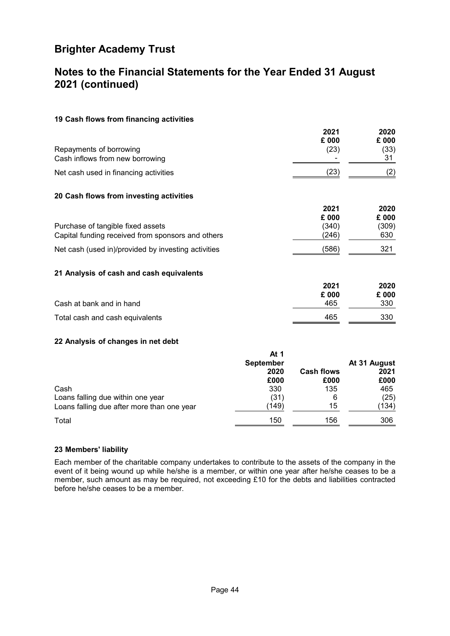### <span id="page-45-1"></span>**Notes to the Financial Statements for the Year Ended 31 August 2021 (continued)**

#### **[19](#page-45-1) Cash flows from financing activities**

|                                       | 2021  | 2020  |
|---------------------------------------|-------|-------|
|                                       | £ 000 | £ 000 |
| Repayments of borrowing               | (23)  | (33)  |
| Cash inflows from new borrowing       |       | 31    |
| Net cash used in financing activities | (23)  |       |
|                                       |       |       |

#### <span id="page-45-0"></span>**[20](#page-45-0) Cash flows from investing activities**

|                                                     | 2021  | 2020  |
|-----------------------------------------------------|-------|-------|
|                                                     | £ 000 | £ 000 |
| Purchase of tangible fixed assets                   | (340) | (309) |
| Capital funding received from sponsors and others   | (246) | 630   |
| Net cash (used in)/provided by investing activities | (586) | 321   |

#### <span id="page-45-2"></span>**[21](#page-45-2) Analysis of cash and cash equivalents**

|                                 | 2021  | 2020  |
|---------------------------------|-------|-------|
|                                 | £ 000 | £ 000 |
| Cash at bank and in hand        | 465   | 330   |
| Total cash and cash equivalents | 465   | 330   |

#### <span id="page-45-3"></span>**[22](#page-45-3) Analysis of changes in net debt**

|                                            | At 1<br><b>September</b><br>2020<br>£000 | <b>Cash flows</b><br>£000 | At 31 August<br>2021<br>£000 |
|--------------------------------------------|------------------------------------------|---------------------------|------------------------------|
| Cash                                       | 330                                      | 135                       | 465                          |
| Loans falling due within one year          | (31)                                     | 6                         | (25)                         |
| Loans falling due after more than one year | (149)                                    | 15                        | (134)                        |
| Total                                      | 150                                      | 156                       | 306                          |

#### <span id="page-45-4"></span>**[23](#page-45-4) Members' liability**

Each member of the charitable company undertakes to contribute to the assets of the company in the event of it being wound up while he/she is a member, or within one year after he/she ceases to be a member, such amount as may be required, not exceeding £10 for the debts and liabilities contracted before he/she ceases to be a member.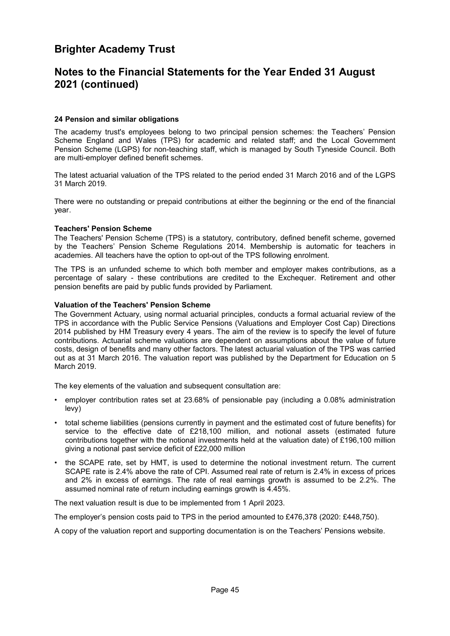### <span id="page-46-0"></span>**Notes to the Financial Statements for the Year Ended 31 August 2021 (continued)**

#### **[24](#page-46-0) Pension and similar obligations**

The academy trust's employees belong to two principal pension schemes: the Teachers' Pension Scheme England and Wales (TPS) for academic and related staff; and the Local Government Pension Scheme (LGPS) for non-teaching staff, which is managed by South Tyneside Council. Both are multi-employer defined benefit schemes.

The latest actuarial valuation of the TPS related to the period ended 31 March 2016 and of the LGPS 31 March 2019.

There were no outstanding or prepaid contributions at either the beginning or the end of the financial year.

#### **Teachers' Pension Scheme**

The Teachers' Pension Scheme (TPS) is a statutory, contributory, defined benefit scheme, governed by the Teachers' Pension Scheme Regulations 2014. Membership is automatic for teachers in academies. All teachers have the option to opt-out of the TPS following enrolment.

The TPS is an unfunded scheme to which both member and employer makes contributions, as a percentage of salary - these contributions are credited to the Exchequer. Retirement and other pension benefits are paid by public funds provided by Parliament.

#### **Valuation of the Teachers' Pension Scheme**

The Government Actuary, using normal actuarial principles, conducts a formal actuarial review of the TPS in accordance with the Public Service Pensions (Valuations and Employer Cost Cap) Directions 2014 published by HM Treasury every 4 years. The aim of the review is to specify the level of future contributions. Actuarial scheme valuations are dependent on assumptions about the value of future costs, design of benefits and many other factors. The latest actuarial valuation of the TPS was carried out as at 31 March 2016. The valuation report was published by the Department for Education on 5 March 2019.

The key elements of the valuation and subsequent consultation are:

- employer contribution rates set at 23.68% of pensionable pay (including a 0.08% administration levy)
- total scheme liabilities (pensions currently in payment and the estimated cost of future benefits) for service to the effective date of £218,100 million, and notional assets (estimated future contributions together with the notional investments held at the valuation date) of £196,100 million giving a notional past service deficit of £22,000 million
- the SCAPE rate, set by HMT, is used to determine the notional investment return. The current SCAPE rate is 2.4% above the rate of CPI. Assumed real rate of return is 2.4% in excess of prices and 2% in excess of earnings. The rate of real earnings growth is assumed to be 2.2%. The assumed nominal rate of return including earnings growth is 4.45%.

The next valuation result is due to be implemented from 1 April 2023.

The employer's pension costs paid to TPS in the period amounted to £476,378 (2020: £448,750).

A copy of the valuation report and supporting documentation is on the Teachers' Pensions website.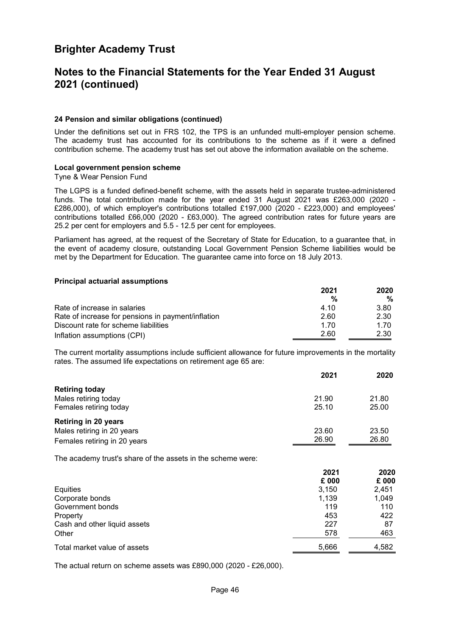### **Notes to the Financial Statements for the Year Ended 31 August 2021 (continued)**

#### **[24](#page-46-0) Pension and similar obligations (continued)**

Under the definitions set out in FRS 102, the TPS is an unfunded multi-employer pension scheme. The academy trust has accounted for its contributions to the scheme as if it were a defined contribution scheme. The academy trust has set out above the information available on the scheme.

#### **Local government pension scheme**

Tyne & Wear Pension Fund

The LGPS is a funded defined-benefit scheme, with the assets held in separate trustee-administered funds. The total contribution made for the year ended 31 August 2021 was £263,000 (2020 - £286,000), of which employer's contributions totalled £197,000 (2020 - £223,000) and employees' contributions totalled £66,000 (2020 - £63,000). The agreed contribution rates for future years are 25.2 per cent for employers and 5.5 - 12.5 per cent for employees.

Parliament has agreed, at the request of the Secretary of State for Education, to a guarantee that, in the event of academy closure, outstanding Local Government Pension Scheme liabilities would be met by the Department for Education. The guarantee came into force on 18 July 2013.

#### **Principal actuarial assumptions**

|                                                    | 2021<br>% | 2020<br>% |
|----------------------------------------------------|-----------|-----------|
|                                                    |           |           |
| Rate of increase in salaries                       | 4.10      | 3.80      |
| Rate of increase for pensions in payment/inflation | 2.60      | 2.30      |
| Discount rate for scheme liabilities               | 1 7 0     | 1.70      |
| Inflation assumptions (CPI)                        | 2.60      | 2.30      |

The current mortality assumptions include sufficient allowance for future improvements in the mortality rates. The assumed life expectations on retirement age 65 are:

|                              | 2021  | 2020  |
|------------------------------|-------|-------|
| <b>Retiring today</b>        |       |       |
| Males retiring today         | 21.90 | 21.80 |
| Females retiring today       | 25.10 | 25.00 |
| <b>Retiring in 20 years</b>  |       |       |
| Males retiring in 20 years   | 23.60 | 23.50 |
| Females retiring in 20 years | 26.90 | 26.80 |

The academy trust's share of the assets in the scheme were:

|                              | 2021  | 2020  |
|------------------------------|-------|-------|
|                              | £ 000 | £ 000 |
| Equities                     | 3,150 | 2,451 |
| Corporate bonds              | 1,139 | 1,049 |
| Government bonds             | 119   | 110   |
| Property                     | 453   | 422   |
| Cash and other liquid assets | 227   | 87    |
| Other                        | 578   | 463   |
| Total market value of assets | 5,666 | 4,582 |

The actual return on scheme assets was £890,000 (2020 - £26,000).